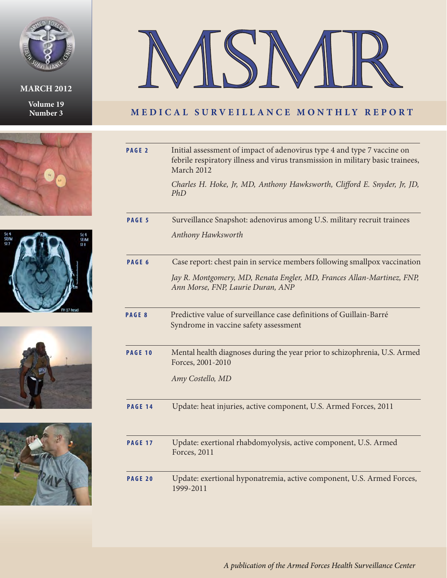

## **MARCH 2012**

**Volume 19 Number 3**











## **MEDICAL SURVEILLANCE MONTHLY REPORT**

| PAGE <sub>2</sub> | Initial assessment of impact of adenovirus type 4 and type 7 vaccine on<br>febrile respiratory illness and virus transmission in military basic trainees,<br>March 2012 |
|-------------------|-------------------------------------------------------------------------------------------------------------------------------------------------------------------------|
|                   | Charles H. Hoke, Jr, MD, Anthony Hawksworth, Clifford E. Snyder, Jr, JD,<br>PhD                                                                                         |
| PAGE 5            | Surveillance Snapshot: adenovirus among U.S. military recruit trainees                                                                                                  |
|                   | Anthony Hawksworth                                                                                                                                                      |
| PAGE 6            | Case report: chest pain in service members following smallpox vaccination                                                                                               |
|                   | Jay R. Montgomery, MD, Renata Engler, MD, Frances Allan-Martinez, FNP,<br>Ann Morse, FNP, Laurie Duran, ANP                                                             |
| PAGE 8            | Predictive value of surveillance case definitions of Guillain-Barré<br>Syndrome in vaccine safety assessment                                                            |
| <b>PAGE 10</b>    | Mental health diagnoses during the year prior to schizophrenia, U.S. Armed<br>Forces, 2001-2010                                                                         |
|                   | Amy Costello, MD                                                                                                                                                        |
| <b>PAGE 14</b>    | Update: heat injuries, active component, U.S. Armed Forces, 2011                                                                                                        |
| <b>PAGE 17</b>    | Update: exertional rhabdomyolysis, active component, U.S. Armed<br>Forces, 2011                                                                                         |
| PAGE 20           | Update: exertional hyponatremia, active component, U.S. Armed Forces,<br>1999-2011                                                                                      |

*A publication of the Armed Forces Health Surveillance Center*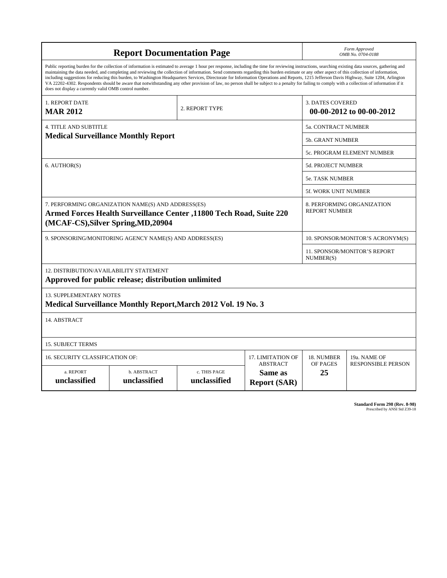|                                                                                                                                                                                                                                                                                                                                                                                                                                                                                                                                                                                                                                                                                                                                                                                                                                                                    |                                                               | Form Approved<br>OMB No. 0704-0188 |                   |                                                  |                            |  |  |  |
|--------------------------------------------------------------------------------------------------------------------------------------------------------------------------------------------------------------------------------------------------------------------------------------------------------------------------------------------------------------------------------------------------------------------------------------------------------------------------------------------------------------------------------------------------------------------------------------------------------------------------------------------------------------------------------------------------------------------------------------------------------------------------------------------------------------------------------------------------------------------|---------------------------------------------------------------|------------------------------------|-------------------|--------------------------------------------------|----------------------------|--|--|--|
| Public reporting burden for the collection of information is estimated to average 1 hour per response, including the time for reviewing instructions, searching existing data sources, gathering and<br>maintaining the data needed, and completing and reviewing the collection of information. Send comments regarding this burden estimate or any other aspect of this collection of information,<br>including suggestions for reducing this burden, to Washington Headquarters Services, Directorate for Information Operations and Reports, 1215 Jefferson Davis Highway, Suite 1204, Arlington<br>VA 22202-4302. Respondents should be aware that notwithstanding any other provision of law, no person shall be subject to a penalty for failing to comply with a collection of information if it<br>does not display a currently valid OMB control number. |                                                               |                                    |                   |                                                  |                            |  |  |  |
| 1. REPORT DATE<br><b>MAR 2012</b>                                                                                                                                                                                                                                                                                                                                                                                                                                                                                                                                                                                                                                                                                                                                                                                                                                  |                                                               | 2. REPORT TYPE                     |                   | <b>3. DATES COVERED</b>                          | 00-00-2012 to 00-00-2012   |  |  |  |
| <b>4. TITLE AND SUBTITLE</b>                                                                                                                                                                                                                                                                                                                                                                                                                                                                                                                                                                                                                                                                                                                                                                                                                                       |                                                               |                                    |                   | <b>5a. CONTRACT NUMBER</b>                       |                            |  |  |  |
|                                                                                                                                                                                                                                                                                                                                                                                                                                                                                                                                                                                                                                                                                                                                                                                                                                                                    | <b>Medical Surveillance Monthly Report</b>                    |                                    |                   | <b>5b. GRANT NUMBER</b>                          |                            |  |  |  |
|                                                                                                                                                                                                                                                                                                                                                                                                                                                                                                                                                                                                                                                                                                                                                                                                                                                                    |                                                               |                                    |                   |                                                  | 5c. PROGRAM ELEMENT NUMBER |  |  |  |
| 6. AUTHOR(S)                                                                                                                                                                                                                                                                                                                                                                                                                                                                                                                                                                                                                                                                                                                                                                                                                                                       |                                                               |                                    |                   | 5d. PROJECT NUMBER                               |                            |  |  |  |
|                                                                                                                                                                                                                                                                                                                                                                                                                                                                                                                                                                                                                                                                                                                                                                                                                                                                    |                                                               |                                    |                   | 5e. TASK NUMBER                                  |                            |  |  |  |
|                                                                                                                                                                                                                                                                                                                                                                                                                                                                                                                                                                                                                                                                                                                                                                                                                                                                    |                                                               |                                    |                   | 5f. WORK UNIT NUMBER                             |                            |  |  |  |
| 7. PERFORMING ORGANIZATION NAME(S) AND ADDRESS(ES)<br>Armed Forces Health Surveillance Center ,11800 Tech Road, Suite 220<br>(MCAF-CS), Silver Spring, MD, 20904                                                                                                                                                                                                                                                                                                                                                                                                                                                                                                                                                                                                                                                                                                   | 8. PERFORMING ORGANIZATION<br><b>REPORT NUMBER</b>            |                                    |                   |                                                  |                            |  |  |  |
|                                                                                                                                                                                                                                                                                                                                                                                                                                                                                                                                                                                                                                                                                                                                                                                                                                                                    | 9. SPONSORING/MONITORING AGENCY NAME(S) AND ADDRESS(ES)       |                                    |                   | 10. SPONSOR/MONITOR'S ACRONYM(S)                 |                            |  |  |  |
|                                                                                                                                                                                                                                                                                                                                                                                                                                                                                                                                                                                                                                                                                                                                                                                                                                                                    |                                                               |                                    |                   | <b>11. SPONSOR/MONITOR'S REPORT</b><br>NUMBER(S) |                            |  |  |  |
| 12. DISTRIBUTION/AVAILABILITY STATEMENT                                                                                                                                                                                                                                                                                                                                                                                                                                                                                                                                                                                                                                                                                                                                                                                                                            | Approved for public release; distribution unlimited           |                                    |                   |                                                  |                            |  |  |  |
| <b>13. SUPPLEMENTARY NOTES</b>                                                                                                                                                                                                                                                                                                                                                                                                                                                                                                                                                                                                                                                                                                                                                                                                                                     | Medical Surveillance Monthly Report, March 2012 Vol. 19 No. 3 |                                    |                   |                                                  |                            |  |  |  |
| 14. ABSTRACT                                                                                                                                                                                                                                                                                                                                                                                                                                                                                                                                                                                                                                                                                                                                                                                                                                                       |                                                               |                                    |                   |                                                  |                            |  |  |  |
| <b>15. SUBJECT TERMS</b>                                                                                                                                                                                                                                                                                                                                                                                                                                                                                                                                                                                                                                                                                                                                                                                                                                           |                                                               |                                    |                   |                                                  |                            |  |  |  |
| <b>16. SECURITY CLASSIFICATION OF:</b>                                                                                                                                                                                                                                                                                                                                                                                                                                                                                                                                                                                                                                                                                                                                                                                                                             |                                                               |                                    | 17. LIMITATION OF | 18. NUMBER<br>OF PAGES                           | 19a. NAME OF               |  |  |  |
| <b>ABSTRACT</b><br>c. THIS PAGE<br>a. REPORT<br>b. ABSTRACT<br>Same as<br>unclassified<br>unclassified<br>unclassified<br><b>Report (SAR)</b>                                                                                                                                                                                                                                                                                                                                                                                                                                                                                                                                                                                                                                                                                                                      |                                                               |                                    |                   |                                                  | <b>RESPONSIBLE PERSON</b>  |  |  |  |

**Standard Form 298 (Rev. 8-98)**<br>Prescribed by ANSI Std Z39-18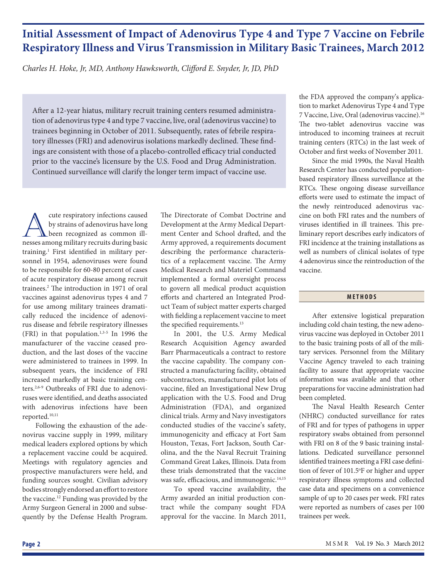# **Initial Assessment of Impact of Adenovirus Type 4 and Type 7 Vaccine on Febrile Respiratory Illness and Virus Transmission in Military Basic Trainees, March 2012**

*Charles H. Hoke, Jr, MD, Anthony Hawksworth, Clifford E. Snyder, Jr, JD, PhD* 

After a 12-year hiatus, military recruit training centers resumed administration of adenovirus type 4 and type 7 vaccine, live, oral (adenovirus vaccine) to trainees beginning in October of 2011. Subsequently, rates of febrile respiratory illnesses (FRI) and adenovirus isolations markedly declined. These findings are consistent with those of a placebo-controlled efficacy trial conducted prior to the vaccine's licensure by the U.S. Food and Drug Administration. Continued surveillance will clarify the longer term impact of vaccine use.

The cute respiratory infections caused<br>by strains of adenovirus have long<br>been recognized as common ill-<br>nesses among military recruits during basic by strains of adenovirus have long been recognized as common illnesses among military recruits during basic training.<sup>1</sup> First identified in military personnel in 1954, adenoviruses were found to be responsible for 60-80 percent of cases of acute respiratory disease among recruit trainees.<sup>2</sup> The introduction in 1971 of oral vaccines against adenovirus types 4 and 7 for use among military trainees dramatically reduced the incidence of adenovirus disease and febrile respiratory illnesses (FRI) in that population. $1,3-5$  In 1996 the manufacturer of the vaccine ceased production, and the last doses of the vaccine were administered to trainees in 1999. In subsequent years, the incidence of FRI increased markedly at basic training centers.2,6-9 Outbreaks of FRI due to adenoviruses were identified, and deaths associated with adenovirus infections have been reported.10,11

Following the exhaustion of the adenovirus vaccine supply in 1999, military medical leaders explored options by which a replacement vaccine could be acquired. Meetings with regulatory agencies and prospective manufacturers were held, and funding sources sought. Civilian advisory bodies strongly endorsed an effort to restore the vaccine.12 Funding was provided by the Army Surgeon General in 2000 and subsequently by the Defense Health Program. The Directorate of Combat Doctrine and Development at the Army Medical Department Center and School drafted, and the Army approved, a requirements document describing the performance characteristics of a replacement vaccine. The Army Medical Research and Materiel Command implemented a formal oversight process to govern all medical product acquistion efforts and chartered an Integrated Product Team of subject matter experts charged with fielding a replacement vaccine to meet the specified requirements.<sup>13</sup>

In 2001, the U.S. Army Medical Research Acquisition Agency awarded Barr Pharmaceuticals a contract to restore the vaccine capability. The company constructed a manufacturing facility, obtained subcontractors, manufactured pilot lots of vaccine, filed an Investigational New Drug application with the U.S. Food and Drug Administration (FDA), and organized clinical trials. Army and Navy investigators conducted studies of the vaccine's safety, immunogenicity and efficacy at Fort Sam Houston, Texas, Fort Jackson, South Carolina, and the the Naval Recruit Training Command Great Lakes, Illinois. Data from these trials demonstrated that the vaccine was safe, efficacious, and immunogenic.<sup>14,15</sup>

To speed vaccine availability, the Army awarded an initial production contract while the company sought FDA approval for the vaccine. In March 2011, the FDA approved the company's application to market Adenovirus Type 4 and Type 7 Vaccine, Live, Oral (adenovirus vaccine).16 The two-tablet adenovirus vaccine was introduced to incoming trainees at recruit training centers (RTCs) in the last week of October and first weeks of November 2011.

Since the mid 1990s, the Naval Health Research Center has conducted populationbased respiratory illness surveillance at the RTCs. These ongoing disease surveillance efforts were used to estimate the impact of the newly reintroduced adenovirus vaccine on both FRI rates and the numbers of viruses identified in ill trainees. This preliminary report describes early indicators of FRI incidence at the training installations as well as numbers of clinical isolates of type 4 adenovirus since the reintroduction of the vaccine.

## **METHODS**

After extensive logistical preparation including cold chain testing, the new adenovirus vaccine was deployed in October 2011 to the basic training posts of all of the military services. Personnel from the Military Vaccine Agency traveled to each training facility to assure that appropriate vaccine information was available and that other preparations for vaccine administration had been completed.

The Naval Health Research Center (NHRC) conducted surveillance for rates of FRI and for types of pathogens in upper respiratory swabs obtained from personnel with FRI on 8 of the 9 basic training installations. Dedicated surveillance personnel identified trainees meeting a FRI case definition of fever of 101.5°F or higher and upper respiratory illness symptoms and collected case data and specimens on a convenience sample of up to 20 cases per week. FRI rates were reported as numbers of cases per 100 trainees per week.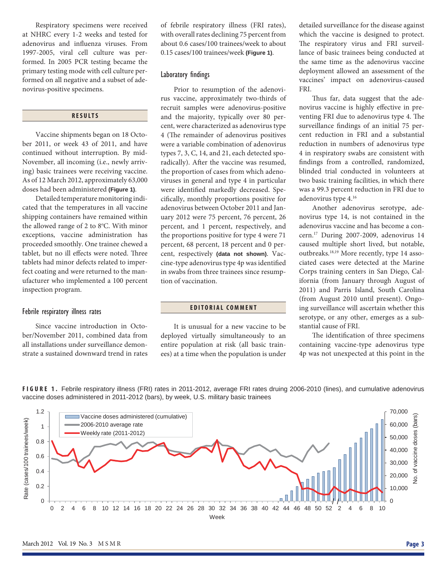Respiratory specimens were received at NHRC every 1-2 weeks and tested for adenovirus and influenza viruses. From 1997-2005, viral cell culture was performed. In 2005 PCR testing became the primary testing mode with cell culture performed on all negative and a subset of adenovirus-positive specimens.

## **RESULTS**

Vaccine shipments began on 18 October 2011, or week 43 of 2011, and have continued without interruption. By mid-November, all incoming (i.e., newly arriving) basic trainees were receiving vaccine. As of 12 March 2012, approximately 63,000 doses had been administered **(Figure 1)**.

Detailed temperature monitoring indicated that the temperatures in all vaccine shipping containers have remained within the allowed range of 2 to 8°C. With minor exceptions, vaccine administration has proceeded smoothly. One trainee chewed a tablet, but no ill effects were noted. Three tablets had minor defects related to imperfect coating and were returned to the manufacturer who implemented a 100 percent inspection program.

#### Febrile respiratory illness rates

Since vaccine introduction in October/November 2011, combined data from all installations under surveillance demonstrate a sustained downward trend in rates

of febrile respiratory illness (FRI rates), with overall rates declining 75 percent from about 0.6 cases/100 trainees/week to about 0.15 cases/100 trainees/week **(Figure 1)**.

## Laboratory findings

Prior to resumption of the adenovirus vaccine, approximately two-thirds of recruit samples were adenovirus-positive and the majority, typically over 80 percent, were characterized as adenovirus type 4 (The remainder of adenovirus positives were a variable combination of adenovirus types 7, 3, C, 14, and 21, each detected sporadically). After the vaccine was resumed, the proportion of cases from which adenoviruses in general and type 4 in particular were identified markedly decreased. Specifi cally, monthly proportions positive for adenovirus between October 2011 and January 2012 were 75 percent, 76 percent, 26 percent, and 1 percent, respectively, and the proportions positive for type 4 were 71 percent, 68 percent, 18 percent and 0 percent, respectively **(data not shown)**. Vaccine-type adenovirus type 4p was identified in swabs from three trainees since resumption of vaccination.

## **EDITORIAL COMMENT**

It is unusual for a new vaccine to be deployed virtually simultaneously to an entire population at risk (all basic trainees) at a time when the population is under

detailed surveillance for the disease against which the vaccine is designed to protect. The respiratory virus and FRI surveillance of basic trainees being conducted at the same time as the adenovirus vaccine deployment allowed an assessment of the vaccines' impact on adenovirus-caused FRI.

Thus far, data suggest that the adenovirus vaccine is highly effective in preventing FRI due to adenovirus type 4. The surveillance findings of an initial 75 percent reduction in FRI and a substantial reduction in numbers of adenovirus type 4 in respiratory swabs are consistent with findings from a controlled, randomized, blinded trial conducted in volunteers at two basic training facilities, in which there was a 99.3 percent reduction in FRI due to adenovirus type 4.16

Another adenovirus serotype, adenovirus type 14, is not contained in the adenovirus vaccine and has become a concern.17 During 2007-2009, adenovirus 14 caused multiple short lived, but notable, outbreaks.<sup>18,19</sup> More recently, type 14 associated cases were detected at the Marine Corps training centers in San Diego, California (from January through August of 2011) and Parris Island, South Carolina (from August 2010 until present). Ongoing surveillance will ascertain whether this serotype, or any other, emerges as a substantial cause of FRI.

The identification of three specimens containing vaccine-type adenovirus type 4p was not unexpected at this point in the

**FIGURE 1.** Febrile respiratory illness (FRI) rates in 2011-2012, average FRI rates druing 2006-2010 (lines), and cumulative adenovirus vaccine doses administered in 2011-2012 (bars), by week, U.S. military basic trainees

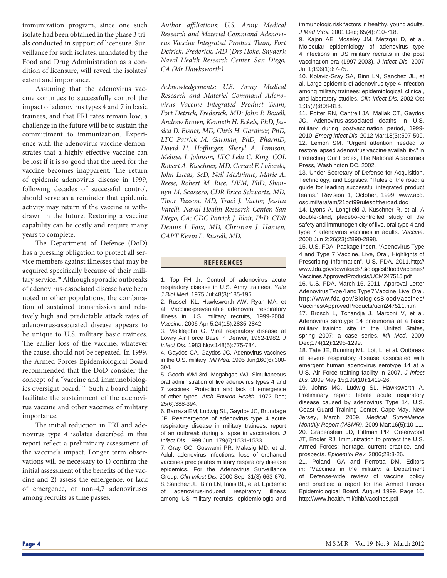immunization program, since one such isolate had been obtained in the phase 3 trials conducted in support of licensure. Surveillance for such isolates, mandated by the Food and Drug Administration as a condition of licensure, will reveal the isolates' extent and importance.

Assuming that the adenovirus vaccine continues to successfully control the impact of adenovirus types 4 and 7 in basic trainees, and that FRI rates remain low, a challenge in the future will be to sustain the committment to immunization. Experience with the adenovirus vaccine demonstrates that a highly effective vaccine can be lost if it is so good that the need for the vaccine becomes inapparent. The return of epidemic adenovirus disease in 1999, following decades of successful control, should serve as a reminder that epidemic activity may return if the vaccine is withdrawn in the future. Restoring a vaccine capability can be costly and require many years to complete.

The Department of Defense (DoD) has a pressing obligation to protect all service members against illnesses that may be acquired specifically because of their military service.<sup>20</sup> Although sporadic outbreaks of adenovirus-associated disease have been noted in other populations, the combination of sustained transmission and relatively high and predictable attack rates of adenovirus-associated disease appears to be unique to U.S. military basic trainees. The earlier loss of the vaccine, whatever the cause, should not be repeated. In 1999, the Armed Forces Epidemiological Board recommended that the DoD consider the concept of a "vaccine and immunobiologics oversight board."21 Such a board might facilitate the sustainment of the adenovirus vaccine and other vaccines of military importance.

The initial reduction in FRI and adenovirus type 4 isolates described in this report reflect a preliminary assessment of the vaccine's impact. Longer term observations will be necessary to 1) confirm the initial assessment of the benefits of the vaccine and 2) assess the emergence, or lack of emergence, of non-4,7 adenoviruses among recruits as time passes.

*Author affi liations: U.S. Army Medical Research and Materiel Command Adenovirus Vaccine Integrated Product Team, Fort Detrick, Frederick, MD (Drs Hoke, Snyder); Naval Health Research Center, San Diego, CA (Mr Hawksworth).*

*Acknowledgements: U.S. Army Medical Research and Materiel Command Adenovirus Vaccine Integrated Product Team, Fort Detrick, Frederick, MD: John P. Boxell, Andrew Brown, Kenneth H. Eckels, PhD, Jessica D. Eisner, MD, Chris H. Gardiner, PhD, LTC Patrick M. Garman, PhD, PharmD,*  David H. Hofflinger, Sheryl A. Jamison, *Melissa J. Johnson, LTC Lela C. King, COL Robert A. Kuschner, MD, Gerard F. LoSardo, John Lucas, ScD, Neil McAvinue, Marie A. Reese, Robert M. Rice, DVM, PhD, Shannyn M. Scassero, CDR Erica Schwartz, MD, Tibor Tuzson, MD, Traci J. Vactor, Jessica Varelli. Naval Health Research Center, San Diego, CA: CDC Patrick J. Blair, PhD, CDR Dennis J. Faix, MD, Christian J. Hansen, CAPT Kevin L. Russell, MD.*

### **REFERENCES**

1. Top FH Jr. Control of adenovirus acute respiratory disease in U.S. Army trainees. *Yale J Biol Med.* 1975 Jul;48(3):185-195.

2. Russell KL, Hawksworth AW, Ryan MA, et al. Vaccine-preventable adenoviral respiratory illness in U.S. military recruits, 1999-2004. *Vaccine*. 2006 Apr 5;24(15):2835-2842.

3. Meiklejohn G. Viral respiratory disease at Lowry Air Force Base in Denver, 1952-1982. *J Infect Dis*. 1983 Nov;148(5):775-784.

4. Gaydos CA, Gaydos JC. Adenovirus vaccines in the U.S. military. *Mil Med.* 1995 Jun;160(6):300- 304.

5. Gooch WM 3rd, Mogabgab WJ. Simultaneous oral administration of live adenovirus types 4 and 7 vaccines. Protection and lack of emergence of other types. *Arch Environ Health.* 1972 Dec; 25(6):388-394.

6. Barraza EM, Ludwig SL, Gaydos JC, Brundage JF. Reemergence of adenovirus type 4 acute respiratory disease in military trainees: report of an outbreak during a lapse in vaccination. *J Infect Dis*. 1999 Jun; 179(6):1531-1533.

7. Gray GC, Goswami PR, Malasig MD, et al. Adult adenovirus infections: loss of orphaned vaccines precipitates military respiratory disease epidemics. For the Adenovirus Surveillance Group. *Clin Infect Dis.* 2000 Sep; 31(3):663-670. 8. Sanchez JL, Binn LN, Innis BL, et al. Epidemic of adenovirus-induced respiratory illness among US military recruits: epidemiologic and immunologic risk factors in healthy, young adults. *J Med Virol.* 2001 Dec; 65(4):710-718.

9. Kajon AE, Moseley JM, Metzgar D, et al. Molecular epidemiology of adenovirus type 4 infections in US military recruits in the post vaccination era (1997-2003). *J Infect Dis*. 2007 Jul 1;196(1):67-75.

10. Kolavic-Gray SA, Binn LN, Sanchez JL, et al. Large epidemic of adenovirus type 4 infection among military trainees: epidemiological, clinical, and laboratory studies. *Clin Infect Dis.* 2002 Oct 1;35(7):808-818.

11. Potter RN, Cantrell JA, Mallak CT, Gaydos JC. Adenovirus-associated deaths in U.S. military during postvaccination period, 1999- 2010. *Emerg Infect Dis*. 2012 Mar;18(3):507-509. 12. Lemon SM. "Urgent attention needed to restore lapsed adenovirus vaccine availability." In Protecting Our Forces, The National Academies Press, Washington DC. 2002.

13. Under Secretary of Defense for Acquisition, Technology, and Logistics. "Rules of the road: a guide for leading successful integrated product teams." Revision 1, October, 1999. www.acq. osd.mil/ara/am/21oct99rulesoftheroad.doc

14. Lyons A, Longfield J, Kuschner R, et al. A double-blind, placebo-controlled study of the safety and immunogenicity of live, oral type 4 and type 7 adenovirus vaccines in adults. *Vaccine*. 2008 Jun 2;26(23):2890-2898.

15. U.S. FDA, Package Insert, "Adenovirus Type 4 and Type 7 Vaccine, Live, Oral, Highlights of Prescribing Information", U.S. FDA, 2011.http:// www.fda.gov/downloads/BiologicsBloodVaccines/ Vaccines ApprovedProducts/UCM247515.pdf

16. U.S. FDA, March 16, 2011. Approval Letter Adenovirus Type 4 and Type 7 Vaccine, Live, Oral. http://www.fda.gov/BiologicsBloodVaccines/ Vaccines/ApprovedProducts/ucm247511.htm

17. Brosch L, Tchandja J, Marconi V, et al. Adenovirus serotype 14 pneumonia at a basic military training site in the United States, spring 2007: a case series. *Mil Med.* 2009 Dec;174(12):1295-1299.

18. Tate JE, Bunning ML, Lott L, et al. Outbreak of severe respiratory disease associated with emergent human adenovirus serotype 14 at a U.S. Air Force training facility in 2007. *J Infect Dis.* 2009 May 15;199(10):1419-26.

19. Johns MC, Ludwig SL, Hawksworth A. Preliminary report: febrile acute respiratory disease caused by adenovirus Type 14, U.S. Coast Guard Training Center, Cape May, New Jersey, March 2009. *Medical Surveillance Monthly Report (MSMR)*. 2009 Mar;16(5):10-11. 20. Grabenstein JD, Pittman PR, Greenwood JT, Engler RJ. Immunization to protect the U.S. Armed Forces: heritage, current practice, and prospects. *Epidemiol Rev*. 2006;28:3-26.

21. Poland, GA and Perrotta DM. Editors in: "Vaccines in the military: a Department of Defense-wide review of vaccine policy and practice: a report for the Armed Forces Epidemiological Board, August 1999. Page 10. http://www.health.mil/dhb/vaccines.pdf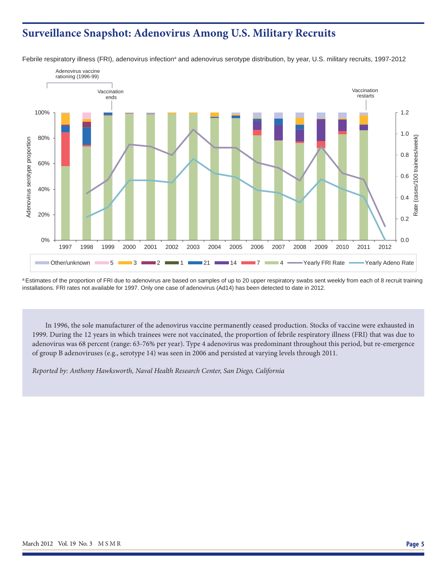## **Surveillance Snapshot: Adenovirus Among U.S. Military Recruits**



Febrile respiratory illness (FRI), adenovirus infection<sup>a</sup> and adenovirus serotype distribution, by year, U.S. military recruits, 1997-2012

<sup>a</sup> Estimates of the proportion of FRI due to adenovirus are based on samples of up to 20 upper respiratory swabs sent weekly from each of 8 recruit training installations. FRI rates not available for 1997. Only one case of adenovirus (Ad14) has been detected to date in 2012.

In 1996, the sole manufacturer of the adenovirus vaccine permanently ceased production. Stocks of vaccine were exhausted in 1999. During the 12 years in which trainees were not vaccinated, the proportion of febrile respiratory illness (FRI) that was due to adenovirus was 68 percent (range: 63-76% per year). Type 4 adenovirus was predominant throughout this period, but re-emergence of group B adenoviruses (e.g., serotype 14) was seen in 2006 and persisted at varying levels through 2011.

*Reported by: Anthony Hawksworth, Naval Health Research Center, San Diego, California*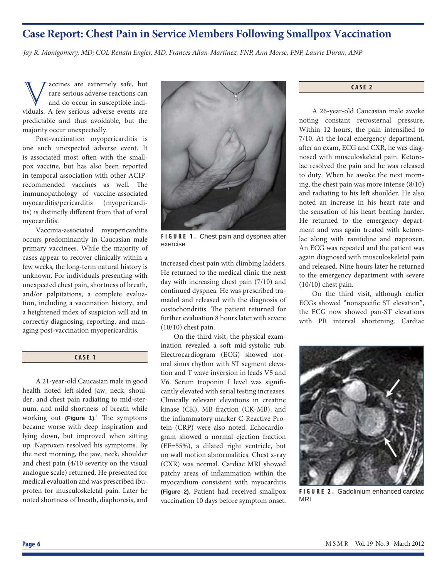## **Case Report: Chest Pain in Service Members Following Smallpox Vaccination**

*Jay R. Montgomery, MD; COL Renata Engler, MD, Frances Allan-Martinez, FNP, Ann Morse, FNP, Laurie Duran, ANP*

accines are extremely safe, but rare serious adverse reactions can and do occur in susceptible individuals. A few serious adverse events are predictable and thus avoidable, but the majority occur unexpectedly.

Post-vaccination myopericarditis is one such unexpected adverse event. It is associated most often with the smallpox vaccine, but has also been reported in temporal association with other ACIPrecommended vaccines as well. The immunopathology of vaccine-associated myocarditis/pericarditis (myopericarditis) is distinctly different from that of viral myocarditis.

Vaccinia-associated myopericarditis occurs predominantly in Caucasian male primary vaccinees. While the majority of cases appear to recover clinically within a few weeks, the long-term natural history is unknown. For individuals presenting with unexpected chest pain, shortness of breath, and/or palpitations, a complete evaluation, including a vaccination history, and a heightened index of suspicion will aid in correctly diagnosing, reporting, and managing post-vaccination myopericarditis.

## **CASE 1**

A 21-year-old Caucasian male in good health noted left -sided jaw, neck, shoulder, and chest pain radiating to mid-sternum, and mild shortness of breath while working out (Figure 1).<sup>1</sup> The symptoms became worse with deep inspiration and lying down, but improved when sitting up. Naproxen resolved his symptoms. By the next morning, the jaw, neck, shoulder and chest pain (4/10 severity on the visual analogue scale) returned. He presented for medical evaluation and was prescribed ibuprofen for musculoskeletal pain. Later he noted shortness of breath, diaphoresis, and



**FIGURE 1.** Chest pain and dyspnea after exercise

increased chest pain with climbing ladders. He returned to the medical clinic the next day with increasing chest pain (7/10) and continued dyspnea. He was prescribed tramadol and released with the diagnosis of costochondritis. The patient returned for further evaluation 8 hours later with severe (10/10) chest pain.

On the third visit, the physical examination revealed a soft mid-systolic rub. Electrocardiogram (ECG) showed normal sinus rhythm with ST segment elevation and T wave inversion in leads V5 and V6. Serum troponin I level was significantly elevated with serial testing increases. Clinically relevant elevations in creatine kinase (CK), MB fraction (CK-MB), and the inflammatory marker C-Reactive Protein (CRP) were also noted. Echocardiogram showed a normal ejection fraction (EF=55%), a dilated right ventricle, but no wall motion abnormalities. Chest x-ray (CXR) was normal. Cardiac MRI showed patchy areas of inflammation within the myocardium consistent with myocarditis **(Figure 2)**. Patient had received smallpox vaccination 10 days before symptom onset.

**CASE 2**

A 26-year-old Caucasian male awoke noting constant retrosternal pressure. Within 12 hours, the pain intensified to 7/10. At the local emergency department, after an exam, ECG and CXR, he was diagnosed with musculoskeletal pain. Ketorolac resolved the pain and he was released to duty. When he awoke the next morning, the chest pain was more intense (8/10) and radiating to his left shoulder. He also noted an increase in his heart rate and the sensation of his heart beating harder. He returned to the emergency department and was again treated with ketorolac along with ranitidine and naproxen. An ECG was repeated and the patient was again diagnosed with musculoskeletal pain and released. Nine hours later he returned to the emergency department with severe (10/10) chest pain.

On the third visit, although earlier ECGs showed "nonspecific ST elevation", the ECG now showed pan-ST elevations with PR interval shortening. Cardiac



**FIGURE 2.** Gadolinium enhanced cardiac MRI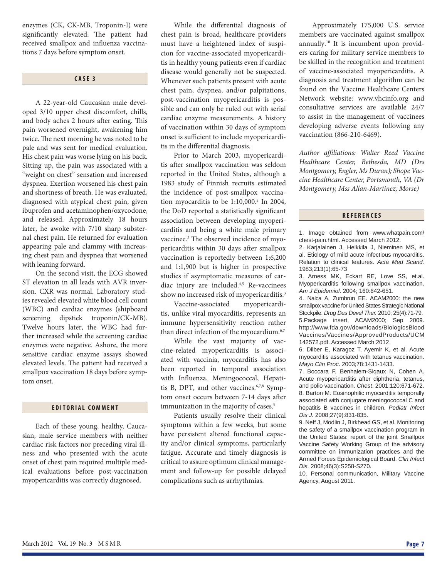enzymes (CK, CK-MB, Troponin-I) were significantly elevated. The patient had received smallpox and influenza vaccinations 7 days before symptom onset.

#### **CASE 3**

A 22-year-old Caucasian male developed 3/10 upper chest discomfort, chills, and body aches 2 hours after eating. This pain worsened overnight, awakening him twice. The next morning he was noted to be pale and was sent for medical evaluation. His chest pain was worse lying on his back. Sitting up, the pain was associated with a "weight on chest" sensation and increased dyspnea. Exertion worsened his chest pain and shortness of breath. He was evaluated, diagnosed with atypical chest pain, given ibuprofen and acetaminophen/oxycodone, and released. Approximately 18 hours later, he awoke with 7/10 sharp substernal chest pain. He returned for evaluation appearing pale and clammy with increasing chest pain and dyspnea that worsened with leaning forward.

On the second visit, the ECG showed ST elevation in all leads with AVR inversion. CXR was normal. Laboratory studies revealed elevated white blood cell count (WBC) and cardiac enzymes (shipboard screening dipstick troponin/CK-MB). Twelve hours later, the WBC had further increased while the screening cardiac enzymes were negative. Ashore, the more sensitive cardiac enzyme assays showed elevated levels. The patient had received a smallpox vaccination 18 days before symptom onset.

#### **EDITORIAL COMMENT**

Each of these young, healthy, Caucasian, male service members with neither cardiac risk factors nor preceding viral illness and who presented with the acute onset of chest pain required multiple medical evaluations before post-vaccination myopericarditis was correctly diagnosed.

While the differential diagnosis of chest pain is broad, healthcare providers must have a heightened index of suspicion for vaccine-associated myopericarditis in healthy young patients even if cardiac disease would generally not be suspected. Whenever such patients present with acute chest pain, dyspnea, and/or palpitations, post-vaccination myopericarditis is possible and can only be ruled out with serial cardiac enzyme measurements. A history of vaccination within 30 days of symptom onset is sufficient to include myopericarditis in the differential diagnosis.

Prior to March 2003, myopericarditis after smallpox vaccination was seldom reported in the United States, although a 1983 study of Finnish recruits estimated the incidence of post-smallpox vaccination myocarditis to be  $1:10,000$ <sup>2</sup> In 2004, the DoD reported a statistically significant association between developing myopericarditis and being a white male primary vaccinee.<sup>3</sup> The observed incidence of myopericarditis within 30 days after smallpox vaccination is reportedly between 1:6,200 and 1:1,900 but is higher in prospective studies if asymptomatic measures of cardiac injury are included.4,5 Re-vaccinees show no increased risk of myopericarditis.<sup>3</sup>

Vaccine-associated myopericarditis, unlike viral myocarditis, represents an immune hypersensitivity reaction rather than direct infection of the myocardium.<sup>6,7</sup>

While the vast majority of vaccine-related myopericarditis is associated with vaccinia, myocarditis has also been reported in temporal association with Influenza, Meningococcal, Hepatitis B, DPT, and other vaccines.<sup>6,7,8</sup> Symptom onset occurs between 7-14 days after immunization in the majority of cases.<sup>9</sup>

Patients usually resolve their clinical symptoms within a few weeks, but some have persistent altered functional capacity and/or clinical symptoms, particularly fatigue. Accurate and timely diagnosis is critical to assure optimum clinical management and follow-up for possible delayed complications such as arrhythmias.

Approximately 175,000 U.S. service members are vaccinated against smallpox annually.10 It is incumbent upon providers caring for military service members to be skilled in the recognition and treatment of vaccine-associated myopericarditis. A diagnosis and treatment algorithm can be found on the Vaccine Healthcare Centers Network website: www.vhcinfo.org and consultative services are available 24/7 to assist in the management of vaccinees developing adverse events following any vaccination (866-210-6469).

*Author affi liations: Walter Reed Vaccine Healthcare Center, Bethesda, MD (Drs Montgomery, Engler, Ms Duran); Shope Vaccine Healthcare Center, Portsmouth, VA (Dr Montgomery, Mss Allan-Martinez, Morse)*

#### **REFERENCES**

1. Image obtained from www.whatpain.com/ chest-pain.html. Accessed March 2012.

2. Karjalainen J, Heikkila J, Nieminen MS, et al. Etiology of mild acute infectious myocarditis. Relation to clinical features. *Acta Med Scand.* 1983;213(1):65-73

3. Arness MK, Eckart RE, Love SS, et.al. Myopericarditis following smallpox vaccination. *Am J Epidemiol*. 2004; 160:642-651.

4. Nalca A, Zumbrun EE. ACAM2000: the new smallpox vaccine for United States Strategic National Stockpile. *Drug Des Devel Ther.* 2010; 25(4):71-79. 5.Package insert, ACAM2000; Sep 2009. http://www.fda.gov/downloads/BiologicsBlood Vaccines/Vaccines/ApprovedProducts/UCM 142572.pdf. Accessed March 2012

6. Dilber E, Karagoz T, Ayemir K, et al. Acute myocarditis associated with tetanus vaccination. *Mayo Clin Proc*. 2003;78:1431-1433.

7. Boccara F, Benhaiem-Siqaux N, Cohen A. Acute myopericarditis after diphtheria, tetanus, and polio vaccination. *Chest*. 2001;120:671-672. 8. Barton M. Eosinophilic myocarditis temporally associated with conjugate meningococcal C and hepatitis B vaccines in children. *Pediatr Infect Dis J.* 2008;27(9):831-835.

9. Neff J, Modlin J, Birkhead GS, et al. Monitoring the safety of a smallpox vaccination program in the United States: report of the joint Smallpox Vaccine Safety Working Group of the advisory committee on immunization practices and the Armed Forces Epidemiological Board. *Clin Infect Dis.* 2008;46(3):S258-S270.

10. Personal communication, Military Vaccine Agency, August 2011.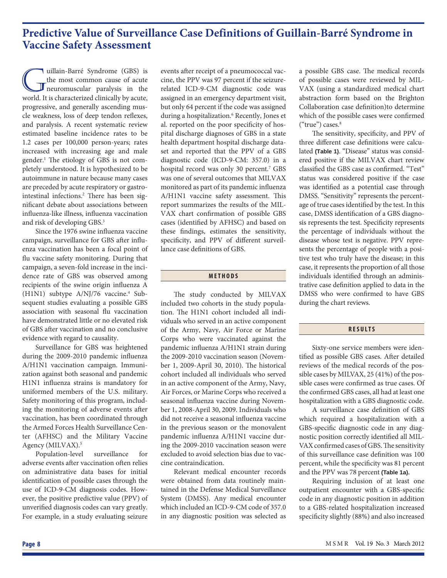## **Predictive Value of Surveillance Case Definitions of Guillain-Barré Syndrome in Vaccine Safety Assessment**

uillain-Barré Syndrome (GBS) is<br>the most common cause of acute<br>neuromuscular paralysis in the<br>world It is characterized clinically by acute. the most common cause of acute neuromuscular paralysis in the world. It is characterized clinically by acute, progressive, and generally ascending muscle weakness, loss of deep tendon reflexes, and paralysis. A recent systematic review estimated baseline incidence rates to be 1.2 cases per 100,000 person-years; rates increased with increasing age and male gender.<sup>1</sup> The etiology of GBS is not completely understood. It is hypothesized to be autoimmune in nature because many cases are preceded by acute respiratory or gastrointestinal infections.<sup>2</sup> There has been significant debate about associations between influenza-like illness, influenza vaccination and risk of developing GBS.3

Since the 1976 swine influenza vaccine campaign, surveillance for GBS after influenza vaccination has been a focal point of flu vaccine safety monitoring. During that campaign, a seven-fold increase in the incidence rate of GBS was observed among recipients of the swine origin influenza A (H1N1) subtype A/NJ/76 vaccine.<sup>4</sup> Subsequent studies evaluating a possible GBS association with seasonal flu vaccination have demonstrated little or no elevated risk of GBS after vaccination and no conclusive evidence with regard to causality.

Surveillance for GBS was heightened during the 2009-2010 pandemic influenza A/H1N1 vaccination campaign. Immunization against both seasonal and pandemic H1N1 influenza strains is mandatory for uniformed members of the U.S. military. Safety monitoring of this program, including the monitoring of adverse events after vaccination, has been coordinated through the Armed Forces Health Surveillance Center (AFHSC) and the Military Vaccine Agency (MILVAX).<sup>5</sup>

Population-level surveillance for adverse events after vaccination often relies on administrative data bases for initial identification of possible cases through the use of ICD-9-CM diagnosis codes. However, the positive predictive value (PPV) of unverified diagnosis codes can vary greatly. For example, in a study evaluating seizure

events after receipt of a pneumococcal vaccine, the PPV was 97 percent if the seizurerelated ICD-9-CM diagnostic code was assigned in an emergency department visit, but only 64 percent if the code was assigned during a hospitalization.<sup>6</sup> Recently, Jones et al. reported on the poor specificity of hospital discharge diagnoses of GBS in a state health department hospital discharge dataset and reported that the PPV of a GBS diagnostic code (ICD-9-CM: 357.0) in a hospital record was only 30 percent.<sup>7</sup> GBS was one of several outcomes that MILVAX monitored as part of its pandemic influenza A/H1N1 vaccine safety assessment. This report summarizes the results of the MIL-VAX chart confirmation of possible GBS cases (identified by AFHSC) and based on these findings, estimates the sensitivity, specificity, and PPV of different surveillance case definitions of GBS.

### **METHODS**

The study conducted by MILVAX included two cohorts in the study population. The H1N1 cohort included all individuals who served in an active component of the Army, Navy, Air Force or Marine Corps who were vaccinated against the pandemic influenza A/H1N1 strain during the 2009-2010 vaccination season (November 1, 2009-April 30, 2010). The historical cohort included all individuals who served in an active component of the Army, Navy, Air Forces, or Marine Corps who received a seasonal influenza vaccine during November 1, 2008-April 30, 2009. Individuals who did not receive a seasonal influenza vaccine in the previous season or the monovalent pandemic influenza A/H1N1 vaccine during the 2009-2010 vaccination season were excluded to avoid selection bias due to vaccine contraindication.

Relevant medical encounter records were obtained from data routinely maintained in the Defense Medical Surveillance System (DMSS). Any medical encounter which included an ICD-9-CM code of 357.0 in any diagnostic position was selected as

a possible GBS case. The medical records of possible cases were reviewed by MIL-VAX (using a standardized medical chart abstraction form based on the Brighton Collaboration case definition)to determine which of the possible cases were confirmed  $("true") cases.<sup>8</sup>$ 

The sensitivity, specificity, and PPV of three different case definitions were calculated **(Table 1)**. "Disease" status was considered positive if the MILVAX chart review classified the GBS case as confirmed. "Test" status was considered positive if the case was identified as a potential case through DMSS. "Sensitivity" represents the percentage of true cases identified by the test. In this case, DMSS identification of a GBS diagnosis represents the test. Specificity represents the percentage of individuals without the disease whose test is negative. PPV represents the percentage of people with a positive test who truly have the disease; in this case, it represents the proportion of all those individuals identified through an administrative case definition applied to data in the DMSS who were confirmed to have GBS during the chart reviews.

### **RESULTS**

Sixty-one service members were identified as possible GBS cases. After detailed reviews of the medical records of the possible cases by MILVAX, 25 (41%) of the possible cases were confirmed as true cases. Of the confirmed GBS cases, all had at least one hospitalization with a GBS diagnostic code.

A surveillance case definition of GBS which required a hospitalization with a GBS-specific diagnostic code in any diagnostic position correctly identified all MIL-VAX confirmed cases of GBS. The sensitivity of this surveillance case definition was 100 percent, while the specificity was 81 percent and the PPV was 78 percent **(Table 1a).**

Requiring inclusion of at least one outpatient encounter with a GBS-specific code in any diagnostic position in addition to a GBS-related hospitalization increased specificity slightly (88%) and also increased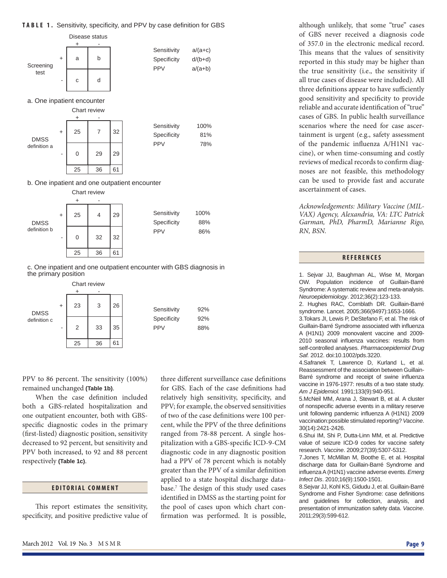### **TABLE 1.** Sensitivity, specificity, and PPV by case definition for GBS although unlikely, that some "true" cases



a. One inpatient encounter



#### b. One inpatient and one outpatient encounter



c. One inpatient and one outpatient encounter with GBS diagnosis in the primary position



PPV to 86 percent. The sensitivity (100%) remained unchanged **(Table 1b)**.

When the case definition included both a GBS-related hospitalization and one outpatient encounter, both with GBSspecific diagnostic codes in the primary (first-listed) diagnostic position, sensitivity decreased to 92 percent, but sensitivity and PPV both increased, to 92 and 88 percent respectively **(Table 1c)**.

#### **EDITORIAL COMMENT**

This report estimates the sensitivity, specificity, and positive predictive value of three different surveillance case definitions for GBS. Each of the case definitions had relatively high sensitivity, specificity, and PPV; for example, the observed sensitivities of two of the case definitions were 100 percent, while the PPV of the three definitions ranged from 78-88 percent. A single hospitalization with a GBS-specific ICD-9-CM diagnostic code in any diagnostic position had a PPV of 78 percent which is notably greater than the PPV of a similar definition applied to a state hospital discharge database.<sup>7</sup> The design of this study used cases identified in DMSS as the starting point for the pool of cases upon which chart confirmation was performed. It is possible,

of GBS never received a diagnosis code of 357.0 in the electronic medical record. This means that the values of sensitivity reported in this study may be higher than the true sensitivity (i.e., the sensitivity if all true cases of disease were included). All three definitions appear to have sufficiently good sensitivity and specificity to provide reliable and accurate identification of "true" cases of GBS. In public health surveillance scenarios where the need for case ascertainment is urgent (e.g., safety assessment of the pandemic influenza A/H1N1 vaccine), or when time-consuming and costly reviews of medical records to confirm diagnoses are not feasible, this methodology can be used to provide fast and accurate ascertainment of cases.

*Acknowledgements: Military Vaccine (MIL-VAX) Agency, Alexandria, VA: LTC Patrick Garman, PhD, PharmD, Marianne Rigo, RN, BSN.* 

## **REFERENCES**

1. Sejvar JJ, Baughman AL, Wise M, Morgan OW. Population incidence of Guillain-Barré Syndrome: A systematic review and meta-analysis. *Neuroepidemiology*. 2012;36(2):123-133.

2. Hughes RAC, Cornblath DR. Guillain-Barré syndrome. Lancet. 2005;366(9497):1653-1666.

3.Tokars JI, Lewis P, DeStefano F, et al. The risk of Guillain-Barré Syndrome associated with influenza A (H1N1) 2009 monovalent vaccine and 2009- 2010 seasonal influenza vaccines: results from self-controlled analyses. *Pharmacoepidemiol Drug Saf.* 2012. doi:10.1002/pds.3220.

4.Safranek T, Lawrence D, Kurland L, et al. Reassessment of the association between Guillain-Barré syndrome and receipt of swine influenza vaccine in 1976-1977: results of a two state study. *Am J Epidemiol.* 1991;133(9):940-951.

5.McNeil MM, Arana J, Stewart B, et al. A cluster of nonspecific adverse events in a military reserve unit following pandemic influenza A (H1N1) 2009 vaccination:possible stimulated reporting? *Vaccine*. 30(14):2421-2426.

6.Shui IM, Shi P, Dutta-Linn MM, et al. Predictive value of seizure ICD-9 codes for vaccine safety research. *Vaccine*. 2009;27(39):5307-5312.

7.Jones T, McMillan M, Boothe E, et al. Hospital discharge data for Guillain-Barré Syndrome and infl uenza A (H1N1) vaccine adverse events. *Emerg Infect Dis*. 2010;16(9):1500-1501.

8.Sejvar JJ, Kohl KS, Gidudu J, et al. Guillain-Barré Syndrome and Fisher Syndrome: case definitions and guidelines for collection, analysis, and presentation of immunization safety data. *Vaccine*. 2011;29(3):599-612.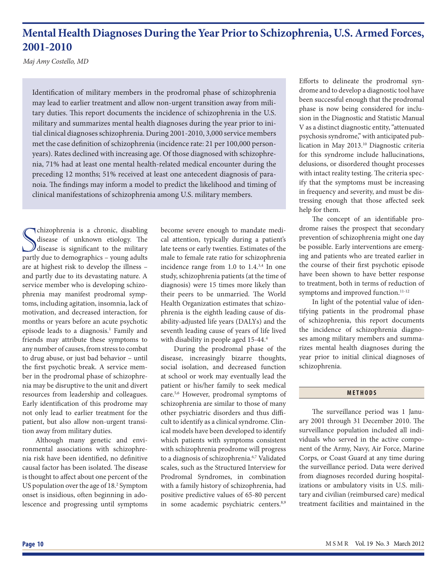# **Mental Health Diagnoses During the Year Prior to Schizophrenia, U.S. Armed Forces, 2001-2010**

*Maj Amy Costello, MD*

Identification of military members in the prodromal phase of schizophrenia may lead to earlier treatment and allow non-urgent transition away from military duties. This report documents the incidence of schizophrenia in the U.S. military and summarizes mental health diagnoses during the year prior to initial clinical diagnoses schizophrenia. During 2001-2010, 3,000 service members met the case definition of schizophrenia (incidence rate: 21 per 100,000 personyears). Rates declined with increasing age. Of those diagnosed with schizophrenia, 71% had at least one mental health-related medical encounter during the preceding 12 months; 51% received at least one antecedent diagnosis of paranoia. The findings may inform a model to predict the likelihood and timing of clinical manifestations of schizophrenia among U.S. military members.

Schizophrenia is a chronic, disabling<br>disease of unknown etiology. The<br>disease is significant to the military<br>partly due to demographics – young adults chizophrenia is a chronic, disabling disease of unknown etiology. The  $\mathcal{Y}$  disease is significant to the military are at highest risk to develop the illness – and partly due to its devastating nature. A service member who is developing schizophrenia may manifest prodromal symptoms, including agitation, insomnia, lack of motivation, and decreased interaction, for months or years before an acute psychotic episode leads to a diagnosis.<sup>1</sup> Family and friends may attribute these symptoms to any number of causes, from stress to combat to drug abuse, or just bad behavior – until the first psychotic break. A service member in the prodromal phase of schizophrenia may be disruptive to the unit and divert resources from leadership and colleagues. Early identification of this prodrome may not only lead to earlier treatment for the patient, but also allow non-urgent transition away from military duties.

Although many genetic and environmental associations with schizophrenia risk have been identified, no definitive causal factor has been isolated. The disease is thought to affect about one percent of the US population over the age of 18.<sup>2</sup> Symptom onset is insidious, often beginning in adolescence and progressing until symptoms become severe enough to mandate medical attention, typically during a patient's late teens or early twenties. Estimates of the male to female rate ratio for schizophrenia incidence range from 1.0 to 1.4.3,4 In one study, schizophrenia patients (at the time of diagnosis) were 15 times more likely than their peers to be unmarried. The World Health Organization estimates that schizophrenia is the eighth leading cause of disability-adjusted life years (DALYs) and the seventh leading cause of years of life lived with disability in people aged 15-44.<sup>4</sup>

During the prodromal phase of the disease, increasingly bizarre thoughts, social isolation, and decreased function at school or work may eventually lead the patient or his/her family to seek medical care.5,6 However, prodromal symptoms of schizophrenia are similar to those of many other psychiatric disorders and thus difficult to identify as a clinical syndrome. Clinical models have been developed to identify which patients with symptoms consistent with schizophrenia prodrome will progress to a diagnosis of schizophrenia.<sup>6,7</sup> Validated scales, such as the Structured Interview for Prodromal Syndromes, in combination with a family history of schizophrenia, had positive predictive values of 65-80 percent in some academic psychiatric centers.<sup>8,9</sup> Efforts to delineate the prodromal syndrome and to develop a diagnostic tool have been successful enough that the prodromal phase is now being considered for inclusion in the Diagnostic and Statistic Manual V as a distinct diagnostic entity, "attenuated psychosis syndrome," with anticipated publication in May 2013.<sup>10</sup> Diagnostic criteria for this syndrome include hallucinations, delusions, or disordered thought processes with intact reality testing. The criteria specify that the symptoms must be increasing in frequency and severity, and must be distressing enough that those affected seek help for them.

The concept of an identifiable prodrome raises the prospect that secondary prevention of schizophrenia might one day be possible. Early interventions are emerging and patients who are treated earlier in the course of their first psychotic episode have been shown to have better response to treatment, both in terms of reduction of symptoms and improved function.<sup>11-12</sup>

In light of the potential value of identifying patients in the prodromal phase of schizophrenia, this report documents the incidence of schizophrenia diagnoses among military members and summarizes mental health diagnoses during the year prior to initial clinical diagnoses of schizophrenia.

## **METHODS**

The surveillance period was 1 January 2001 through 31 December 2010. The surveillance population included all individuals who served in the active component of the Army, Navy, Air Force, Marine Corps, or Coast Guard at any time during the surveillance period. Data were derived from diagnoses recorded during hospitalizations or ambulatory visits in U.S. military and civilian (reimbursed care) medical treatment facilities and maintained in the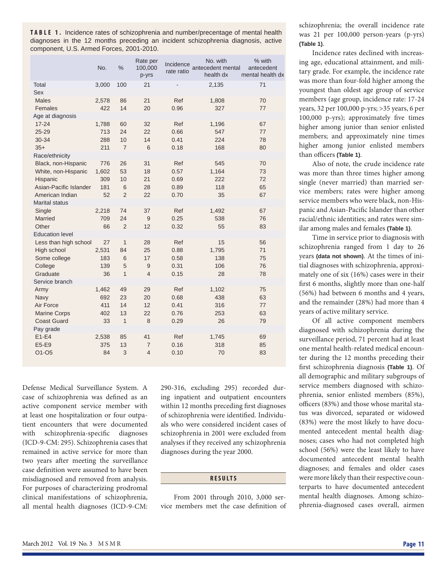**TABLE 1.** Incidence rates of schizophrenia and number/precentage of mental health diagnoses in the 12 months preceding an incident schizophrenia diagnosis, active component, U.S. Armed Forces, 2001-2010.

|                        | No.   | $\frac{0}{0}$  | Rate per<br>100,000<br>p-yrs | Incidence<br>rate ratio | No. with<br>antecedent mental<br>health dx | % with<br>antecedent<br>mental health dx |
|------------------------|-------|----------------|------------------------------|-------------------------|--------------------------------------------|------------------------------------------|
| Total                  | 3,000 | 100            | 21                           |                         | 2,135                                      | 71                                       |
| Sex                    |       |                |                              |                         |                                            |                                          |
| <b>Males</b>           | 2,578 | 86             | 21                           | Ref                     | 1,808                                      | 70                                       |
| Females                | 422   | 14             | 20                           | 0.96                    | 327                                        | 77                                       |
| Age at diagnosis       |       |                |                              |                         |                                            |                                          |
| $17 - 24$              | 1,788 | 60             | 32                           | Ref                     | 1,196                                      | 67                                       |
| $25 - 29$              | 713   | 24             | 22                           | 0.66                    | 547                                        | 77                                       |
| 30-34                  | 288   | 10             | 14                           | 0.41                    | 224                                        | 78                                       |
| $35+$                  | 211   | $\overline{7}$ | 6                            | 0.18                    | 168                                        | 80                                       |
| Race/ethnicity         |       |                |                              |                         |                                            |                                          |
| Black, non-Hispanic    | 776   | 26             | 31                           | Ref                     | 545                                        | 70                                       |
| White, non-Hispanic    | 1,602 | 53             | 18                           | 0.57                    | 1,164                                      | 73                                       |
| Hispanic               | 309   | 10             | 21                           | 0.69                    | 222                                        | 72                                       |
| Asian-Pacific Islander | 181   | 6              | 28                           | 0.89                    | 118                                        | 65                                       |
| American Indian        | 52    | $\overline{2}$ | 22                           | 0.70                    | 35                                         | 67                                       |
| <b>Marital status</b>  |       |                |                              |                         |                                            |                                          |
| Single                 | 2,218 | 74             | 37                           | Ref                     | 1,492                                      | 67                                       |
| Married                | 709   | 24             | $\overline{9}$               | 0.25                    | 538                                        | 76                                       |
| Other                  | 66    | $\overline{2}$ | 12                           | 0.32                    | 55                                         | 83                                       |
| <b>Education level</b> |       |                |                              |                         |                                            |                                          |
| Less than high school  | 27    | $\mathbf{1}$   | 28                           | Ref                     | 15                                         | 56                                       |
| High school            | 2,531 | 84             | 25                           | 0.88                    | 1,795                                      | 71                                       |
| Some college           | 183   | 6              | 17                           | 0.58                    | 138                                        | 75                                       |
| College                | 139   | 5              | 9                            | 0.31                    | 106                                        | 76                                       |
| Graduate               | 36    | $\mathbf{1}$   | $\overline{4}$               | 0.15                    | 28                                         | 78                                       |
| Service branch         |       |                |                              |                         |                                            |                                          |
| Army                   | 1,462 | 49             | 29                           | Ref                     | 1,102                                      | 75                                       |
| Navy                   | 692   | 23             | 20                           | 0.68                    | 438                                        | 63                                       |
| Air Force              | 411   | 14             | 12                           | 0.41                    | 316                                        | 77                                       |
| <b>Marine Corps</b>    | 402   | 13             | 22                           | 0.76                    | 253                                        | 63                                       |
| <b>Coast Guard</b>     | 33    | $\mathbf{1}$   | 8                            | 0.29                    | 26                                         | 79                                       |
| Pay grade              |       |                |                              |                         |                                            |                                          |
| $E1-E4$                | 2,538 | 85             | 41                           | Ref                     | 1,745                                      | 69                                       |
| E5-E9                  | 375   | 13             | $\overline{7}$               | 0.16                    | 318                                        | 85                                       |
| O1-O5                  | 84    | 3              | $\overline{4}$               | 0.10                    | 70                                         | 83                                       |
|                        |       |                |                              |                         |                                            |                                          |

Defense Medical Surveillance System. A case of schizophrenia was defined as an active component service member with at least one hospitalization or four outpatient encounters that were documented with schizophrenia-specific diagnoses (ICD-9-CM: 295). Schizophrenia cases that remained in active service for more than two years after meeting the surveillance case definition were assumed to have been misdiagnosed and removed from analysis. For purposes of characterizing prodromal clinical manifestations of schizophrenia, all mental health diagnoses (ICD-9-CM:

290-316, excluding 295) recorded during inpatient and outpatient encounters within 12 months preceding first diagnoses of schizophrenia were identified. Individuals who were considered incident cases of schizophrenia in 2001 were excluded from analyses if they received any schizophrenia diagnoses during the year 2000.

## **RESULTS**

From 2001 through 2010, 3,000 service members met the case definition of schizophrenia; the overall incidence rate was 21 per 100,000 person-years (p-yrs) **(Table 1)**.

Incidence rates declined with increasing age, educational attainment, and military grade. For example, the incidence rate was more than four-fold higher among the youngest than oldest age group of service members (age group, incidence rate: 17-24 years, 32 per 100,000 p-yrs; >35 years, 6 per 100,000 p-yrs); approximately five times higher among junior than senior enlisted members; and approximately nine times higher among junior enlisted members than officers (Table 1).

Also of note, the crude incidence rate was more than three times higher among single (never married) than married service members; rates were higher among service members who were black, non-Hispanic and Asian-Pacific Islander than other racial/ethnic identities; and rates were similar among males and females **(Table 1)**.

Time in service prior to diagnosis with schizophrenia ranged from 1 day to 26 years **(data not shown)**. At the times of initial diagnoses with schizophrenia, approximately one of six (16%) cases were in their first 6 months, slightly more than one-half (56%) had between 6 months and 4 years, and the remainder (28%) had more than 4 years of active military service.

Of all active component members diagnosed with schizophrenia during the surveillance period, 71 percent had at least one mental health-related medical encounter during the 12 months preceding their fi rst schizophrenia diagnosis **(Table 1)**. Of all demographic and military subgroups of service members diagnosed with schizophrenia, senior enlisted members (85%), officers (83%) and those whose marital status was divorced, separated or widowed (83%) were the most likely to have documented antecedent mental health diagnoses; cases who had not completed high school (56%) were the least likely to have documented antecedent mental health diagnoses; and females and older cases were more likely than their respective counterparts to have documented antecedent mental health diagnoses. Among schizophrenia-diagnosed cases overall, airmen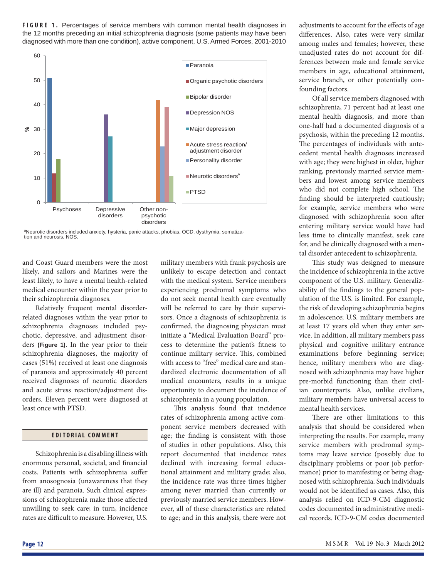**FIGURE 1.** Percentages of service members with common mental health diagnoses in the 12 months preceding an initial schizophrenia diagnosis (some patients may have been diagnosed with more than one condition), active component, U.S. Armed Forces, 2001-2010



<sup>a</sup>Neurotic disorders included anxiety, hysteria, panic attacks, phobias, OCD, dysthymia, somatization and neurosis, NOS.

and Coast Guard members were the most likely, and sailors and Marines were the least likely, to have a mental health-related medical encounter within the year prior to their schizophrenia diagnoses.

Relatively frequent mental disorderrelated diagnoses within the year prior to schizophrenia diagnoses included psychotic, depressive, and adjustment disorders **(Figure 1)**. In the year prior to their schizophrenia diagnoses, the majority of cases (51%) received at least one diagnosis of paranoia and approximately 40 percent received diagnoses of neurotic disorders and acute stress reaction/adjustment disorders. Eleven percent were diagnosed at least once with PTSD.

#### **EDITORIAL COMMENT**

Schizophrenia is a disabling illness with enormous personal, societal, and financial costs. Patients with schizophrenia suffer from anosognosia (unawareness that they are ill) and paranoia. Such clinical expressions of schizophrenia make those affected unwilling to seek care; in turn, incidence rates are difficult to measure. However, U.S. military members with frank psychosis are unlikely to escape detection and contact with the medical system. Service members experiencing prodromal symptoms who do not seek mental health care eventually will be referred to care by their supervisors. Once a diagnosis of schizophrenia is confirmed, the diagnosing physician must initiate a "Medical Evaluation Board" process to determine the patient's fitness to continue military service. This, combined with access to "free" medical care and standardized electronic documentation of all medical encounters, results in a unique opportunity to document the incidence of schizophrenia in a young population.

This analysis found that incidence rates of schizophrenia among active component service members decreased with age; the finding is consistent with those of studies in other populations. Also, this report documented that incidence rates declined with increasing formal educational attainment and military grade; also, the incidence rate was three times higher among never married than currently or previously married service members. However, all of these characteristics are related to age; and in this analysis, there were not adjustments to account for the effects of age differences. Also, rates were very similar among males and females; however, these unadjusted rates do not account for differences between male and female service members in age, educational attainment, service branch, or other potentially confounding factors.

Of all service members diagnosed with schizophrenia, 71 percent had at least one mental health diagnosis, and more than one-half had a documented diagnosis of a psychosis, within the preceding 12 months. The percentages of individuals with antecedent mental health diagnoses increased with age; they were highest in older, higher ranking, previously married service members and lowest among service members who did not complete high school. The finding should be interpreted cautiously; for example, service members who were diagnosed with schizophrenia soon after entering military service would have had less time to clinically manifest, seek care for, and be clinically diagnosed with a mental disorder antecedent to schizophrenia.

This study was designed to measure the incidence of schizophrenia in the active component of the U.S. military. Generalizability of the findings to the general population of the U.S. is limited. For example, the risk of developing schizophrenia begins in adolescence; U.S. military members are at least 17 years old when they enter service. In addition, all military members pass physical and cognitive military entrance examinations before beginning service; hence, military members who are diagnosed with schizophrenia may have higher pre-morbid functioning than their civilian counterparts. Also, unlike civilians, military members have universal access to mental health services.

There are other limitations to this analysis that should be considered when interpreting the results. For example, many service members with prodromal symptoms may leave service (possibly due to disciplinary problems or poor job performance) prior to manifesting or being diagnosed with schizophrenia. Such individuals would not be identified as cases. Also, this analysis relied on ICD-9-CM diagnostic codes documented in administrative medical records. ICD-9-CM codes documented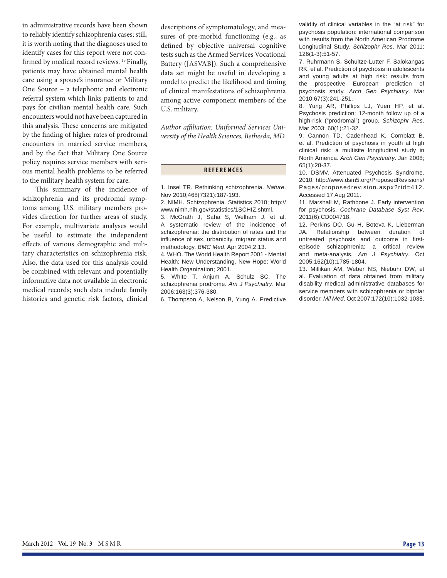in administrative records have been shown to reliably identify schizophrenia cases; still, it is worth noting that the diagnoses used to identify cases for this report were not confirmed by medical record reviews.<sup>13</sup> Finally, patients may have obtained mental health care using a spouse's insurance or Military One Source – a telephonic and electronic referral system which links patients to and pays for civilian mental health care. Such encounters would not have been captured in this analysis. These concerns are mitigated by the finding of higher rates of prodromal encounters in married service members, and by the fact that Military One Source policy requires service members with serious mental health problems to be referred to the military health system for care.

This summary of the incidence of schizophrenia and its prodromal symptoms among U.S. military members provides direction for further areas of study. For example, multivariate analyses would be useful to estimate the independent effects of various demographic and military characteristics on schizophrenia risk. Also, the data used for this analysis could be combined with relevant and potentially informative data not available in electronic medical records; such data include family histories and genetic risk factors, clinical descriptions of symptomatology, and measures of pre-morbid functioning (e.g., as defined by objective universal cognitive tests such as the Armed Services Vocational Battery ([ASVAB]). Such a comprehensive data set might be useful in developing a model to predict the likelihood and timing of clinical manifestations of schizophrenia among active component members of the U.S. military.

Author affiliation: Uniformed Services Uni*versity of the Health Sciences, Bethesda, MD.*

## **REFERENCES**

1. Insel TR. Rethinking schizophrenia. *Nature*. Nov 2010;468(7321):187-193.

2. NIMH. Schizophrenia. Statistics 2010; http:// www.nimh.nih.gov/statistics/1SCHIZ.shtml.

3. McGrath J, Saha S, Welham J, et al. A systematic review of the incidence of schizophrenia: the distribution of rates and the influence of sex, urbanicity, migrant status and methodology. *BMC Med*. Apr 2004;2:13.

4. WHO. The World Health Report 2001 - Mental Health: New Understanding, New Hope: World Health Organization; 2001.

5. White T, Anjum A, Schulz SC. The schizophrenia prodrome. *Am J Psychiatry*. Mar 2006;163(3):376-380.

6. Thompson A, Nelson B, Yung A. Predictive

validity of clinical variables in the "at risk" for psychosis population: international comparison with results from the North American Prodrome Longitudinal Study. *Schizophr Res*. Mar 2011; 126(1-3):51-57.

7. Ruhrmann S, Schultze-Lutter F, Salokangas RK, et al. Prediction of psychosis in adolescents and young adults at high risk: results from the prospective European prediction of psychosis study. *Arch Gen Psychiatry*. Mar 2010;67(3):241-251.

8. Yung AR, Phillips LJ, Yuen HP, et al. Psychosis prediction: 12-month follow up of a high-risk ("prodromal") group. *Schizophr Res*. Mar 2003; 60(1):21-32.

9. Cannon TD, Cadenhead K, Cornblatt B, et al. Prediction of psychosis in youth at high clinical risk: a multisite longitudinal study in North America. *Arch Gen Psychiatry*. Jan 2008; 65(1):28-37.

10. DSMV. Attenuated Psychosis Syndrome. 2010; http://www.dsm5.org/ProposedRevisions/ Pages/proposedrevision.aspx?rid=412. Accessed 17 Aug 2011.

11. Marshall M, Rathbone J. Early intervention for psychosis. *Cochrane Database Syst Rev*. 2011(6):CD004718.

12. Perkins DO, Gu H, Boteva K, Lieberman JA. Relationship between duration of untreated psychosis and outcome in firstepisode schizophrenia: a critical review and meta-analysis. *Am J Psychiatry*. Oct 2005;162(10):1785-1804.

13. Millikan AM, Weber NS, Niebuhr DW, et al. Evaluation of data obtained from military disability medical administrative databases for service members with schizophrenia or bipolar disorder. *Mil Med*. Oct 2007;172(10):1032-1038.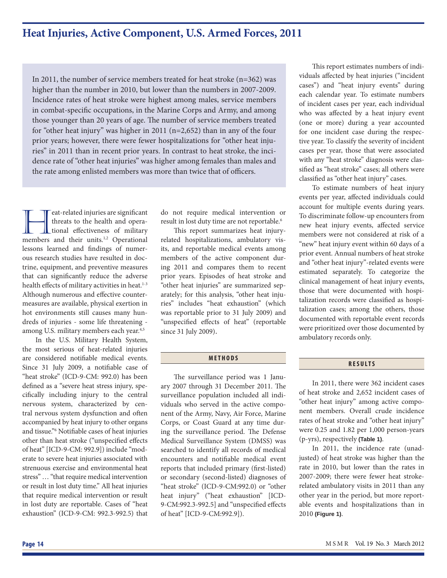## **Heat Injuries, Active Component, U.S. Armed Forces, 2011**

In 2011, the number of service members treated for heat stroke (n=362) was higher than the number in 2010, but lower than the numbers in 2007-2009. Incidence rates of heat stroke were highest among males, service members in combat-specific occupations, in the Marine Corps and Army, and among those younger than 20 years of age. The number of service members treated for "other heat injury" was higher in 2011 (n=2,652) than in any of the four prior years; however, there were fewer hospitalizations for "other heat injuries" in 2011 than in recent prior years. In contrast to heat stroke, the incidence rate of "other heat injuries" was higher among females than males and the rate among enlisted members was more than twice that of officers.

**heat-related injuries are significant** threats to the health and operational effectiveness of military members and their units.<sup>1,2</sup> Operational threats to the health and opera**tional** effectiveness of military lessons learned and findings of numerous research studies have resulted in doctrine, equipment, and preventive measures that can significantly reduce the adverse health effects of military activities in heat.<sup>1-3</sup> Although numerous and effective countermeasures are available, physical exertion in hot environments still causes many hundreds of injuries - some life threatening among U.S. military members each year.<sup>4,5</sup>

In the U.S. Military Health System, the most serious of heat-related injuries are considered notifiable medical events. Since 31 July 2009, a notifiable case of "heat stroke" (ICD-9-CM: 992.0) has been defined as a "severe heat stress injury, specifically including injury to the central nervous system, characterized by central nervous system dysfunction and often accompanied by heat injury to other organs and tissue."<sup>6</sup> Notifiable cases of heat injuries other than heat stroke ("unspecified effects of heat" [ICD-9-CM: 992.9]) include "moderate to severe heat injuries associated with strenuous exercise and environmental heat stress" … "that require medical intervention or result in lost duty time." All heat injuries that require medical intervention or result in lost duty are reportable. Cases of "heat exhaustion" (ICD-9-CM: 992.3-992.5) that do not require medical intervention or result in lost duty time are not reportable.<sup>6</sup>

This report summarizes heat injuryrelated hospitalizations, ambulatory visits, and reportable medical events among members of the active component during 2011 and compares them to recent prior years. Episodes of heat stroke and "other heat injuries" are summarized separately; for this analysis, "other heat injuries" includes "heat exhaustion" (which was reportable prior to 31 July 2009) and "unspecified effects of heat" (reportable since 31 July 2009).

#### **METHODS**

The surveillance period was 1 January 2007 through 31 December 2011. The surveillance population included all individuals who served in the active component of the Army, Navy, Air Force, Marine Corps, or Coast Guard at any time during the surveillance period. The Defense Medical Surveillance System (DMSS) was searched to identify all records of medical encounters and notifiable medical event reports that included primary (first-listed) or secondary (second-listed) diagnoses of "heat stroke" (ICD-9-CM:992.0) or "other heat injury" ("heat exhaustion" [ICD-9-CM:992.3-992.5] and "unspecified effects of heat" [ICD-9-CM:992.9]).

This report estimates numbers of individuals affected by heat injuries ("incident cases") and "heat injury events" during each calendar year. To estimate numbers of incident cases per year, each individual who was affected by a heat injury event (one or more) during a year accounted for one incident case during the respective year. To classify the severity of incident cases per year, those that were associated with any "heat stroke" diagnosis were classified as "heat stroke" cases; all others were classified as "other heat injury" cases.

To estimate numbers of heat injury events per year, affected individuals could account for multiple events during years. To discriminate follow-up encounters from new heat injury events, affected service members were not considered at risk of a "new" heat injury event within 60 days of a prior event. Annual numbers of heat stroke and "other heat injury"-related events were estimated separately. To categorize the clinical management of heat injury events, those that were documented with hospitalization records were classified as hospitalization cases; among the others, those documented with reportable event records were prioritized over those documented by ambulatory records only.

### **RESULTS**

In 2011, there were 362 incident cases of heat stroke and 2,652 incident cases of "other heat injury" among active component members. Overall crude incidence rates of heat stroke and "other heat injury" were 0.25 and 1.82 per 1,000 person-years (p-yrs), respectively **(Table 1)**.

In 2011, the incidence rate (unadjusted) of heat stroke was higher than the rate in 2010, but lower than the rates in 2007-2009; there were fewer heat strokerelated ambulatory visits in 2011 than any other year in the period, but more reportable events and hospitalizations than in 2010 **(Figure 1)**.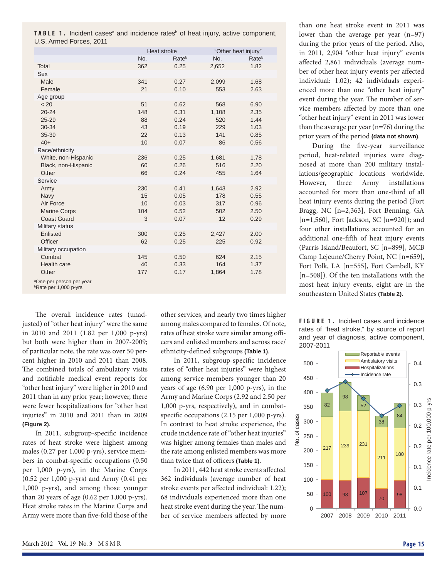|                         |  |  |  |  |  | <b>TABLE 1.</b> Incident cases <sup>a</sup> and incidence rates <sup>b</sup> of heat injury, active component, |  |
|-------------------------|--|--|--|--|--|----------------------------------------------------------------------------------------------------------------|--|
| U.S. Armed Forces, 2011 |  |  |  |  |  |                                                                                                                |  |

|                                                                             |     | Heat stroke       | "Other heat injury" |       |
|-----------------------------------------------------------------------------|-----|-------------------|---------------------|-------|
|                                                                             | No. | Rate <sup>b</sup> | No.                 | Rateb |
| Total                                                                       | 362 | 0.25              | 2,652               | 1.82  |
| Sex                                                                         |     |                   |                     |       |
| Male                                                                        | 341 | 0.27              | 2,099               | 1.68  |
| Female                                                                      | 21  | 0.10              | 553                 | 2.63  |
| Age group                                                                   |     |                   |                     |       |
| < 20                                                                        | 51  | 0.62              | 568                 | 6.90  |
| $20 - 24$                                                                   | 148 | 0.31              | 1,108               | 2.35  |
| $25 - 29$                                                                   | 88  | 0.24              | 520                 | 1.44  |
| 30-34                                                                       | 43  | 0.19              | 229                 | 1.03  |
| 35-39                                                                       | 22  | 0.13              | 141                 | 0.85  |
| $40+$                                                                       | 10  | 0.07              | 86                  | 0.56  |
| Race/ethnicity                                                              |     |                   |                     |       |
| White, non-Hispanic                                                         | 236 | 0.25              | 1,681               | 1.78  |
| Black, non-Hispanic                                                         | 60  | 0.26              | 516                 | 2.20  |
| Other                                                                       | 66  | 0.24              | 455                 | 1.64  |
| Service                                                                     |     |                   |                     |       |
| Army                                                                        | 230 | 0.41              | 1,643               | 2.92  |
| Navy                                                                        | 15  | 0.05              | 178                 | 0.55  |
| Air Force                                                                   | 10  | 0.03              | 317                 | 0.96  |
| <b>Marine Corps</b>                                                         | 104 | 0.52              | 502                 | 2.50  |
| <b>Coast Guard</b>                                                          | 3   | 0.07              | 12                  | 0.29  |
| Military status                                                             |     |                   |                     |       |
| Enlisted                                                                    | 300 | 0.25              | 2,427               | 2.00  |
| <b>Officer</b>                                                              | 62  | 0.25              | 225                 | 0.92  |
| Military occupation                                                         |     |                   |                     |       |
| Combat                                                                      | 145 | 0.50              | 624                 | 2.15  |
| Health care                                                                 | 40  | 0.33              | 164                 | 1.37  |
| Other                                                                       | 177 | 0.17              | 1,864               | 1.78  |
| <sup>a</sup> One per person per year<br><b><i>b</i>Rate per 1,000 p-yrs</b> |     |                   |                     |       |

The overall incidence rates (unadjusted) of "other heat injury" were the same in 2010 and 2011 (1.82 per 1,000 p-yrs) but both were higher than in 2007-2009; of particular note, the rate was over 50 percent higher in 2010 and 2011 than 2008. The combined totals of ambulatory visits and notifiable medical event reports for "other heat injury" were higher in 2010 and 2011 than in any prior year; however, there were fewer hospitalizations for "other heat injuries" in 2010 and 2011 than in 2009 **(Figure 2)**.

In 2011, subgroup-specific incidence rates of heat stroke were highest among males (0.27 per 1,000 p-yrs), service members in combat-specific occupations (0.50) per 1,000 p-yrs), in the Marine Corps (0.52 per 1,000 p-yrs) and Army (0.41 per 1,000 p-yrs), and among those younger than 20 years of age (0.62 per 1,000 p-yrs). Heat stroke rates in the Marine Corps and Army were more than five-fold those of the

other services, and nearly two times higher among males compared to females. Of note, rates of heat stroke were similar among officers and enlisted members and across race/ ethnicity-defined subgroups (Table 1).

In 2011, subgroup-specific incidence rates of "other heat injuries" were highest among service members younger than 20 years of age (6.90 per 1,000 p-yrs), in the Army and Marine Corps (2.92 and 2.50 per 1,000 p-yrs, respectively), and in combatspecific occupations  $(2.15 \text{ per } 1,000 \text{ p-yrs}).$ In contrast to heat stroke experience, the crude incidence rate of "other heat injuries" was higher among females than males and the rate among enlisted members was more than twice that of officers **(Table 1)**.

In 2011, 442 heat stroke events affected 362 individuals (average number of heat stroke events per affected individual: 1.22); 68 individuals experienced more than one heat stroke event during the year. The number of service members affected by more

than one heat stroke event in 2011 was lower than the average per year (n=97) during the prior years of the period. Also, in 2011, 2,904 "other heat injury" events affected 2,861 individuals (average number of other heat injury events per affected individual: 1.02); 42 individuals experienced more than one "other heat injury" event during the year. The number of service members affected by more than one "other heat injury" event in 2011 was lower than the average per year (n=76) during the prior years of the period **(data not shown)**.

During the five-year surveillance period, heat-related injuries were diagnosed at more than 200 military installations/geographic locations worldwide. However, three Army installations accounted for more than one-third of all heat injury events during the period (Fort Bragg, NC [n=2,363], Fort Benning, GA [n=1,560], Fort Jackson, SC [n=920]); and four other installations accounted for an additional one-fifth of heat injury events (Parris Island/Beaufort, SC [n=899], MCB Camp Lejeune/Cherry Point, NC [n=659], Fort Polk, LA [n=555], Fort Cambell, KY [n=508]). Of the ten installations with the most heat injury events, eight are in the southeastern United States **(Table 2)**.



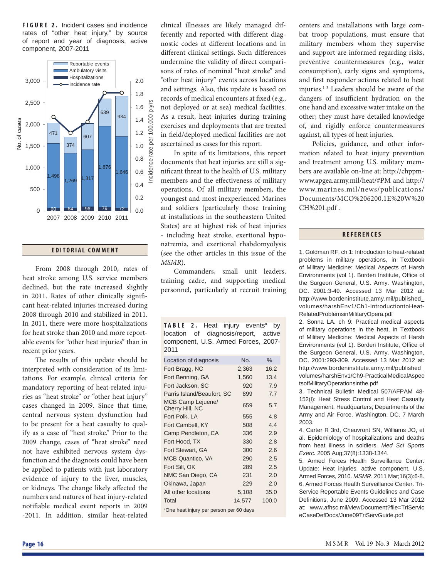**FIGURE 2.** Incident cases and incidence rates of "other heat injury," by source of report and year of diagnosis, active component, 2007-2011



#### **EDITORIAL COMMENT**

From 2008 through 2010, rates of heat stroke among U.S. service members declined, but the rate increased slightly in 2011. Rates of other clinically significant heat-related injuries increased during 2008 through 2010 and stabilized in 2011. In 2011, there were more hospitalizations for heat stroke than 2010 and more reportable events for "other heat injuries" than in recent prior years.

The results of this update should be interpreted with consideration of its limitations. For example, clinical criteria for mandatory reporting of heat-related injuries as "heat stroke" or "other heat injury" cases changed in 2009. Since that time, central nervous system dysfunction had to be present for a heat casualty to qualify as a case of "heat stroke." Prior to the 2009 change, cases of "heat stroke" need not have exhibited nervous system dysfunction and the diagnosis could have been be applied to patients with just laboratory evidence of injury to the liver, muscles, or kidneys. The change likely affected the numbers and natures of heat injury-related notifiable medical event reports in 2009 -2011. In addition, similar heat-related

clinical illnesses are likely managed differently and reported with different diagnostic codes at different locations and in different clinical settings. Such differences undermine the validity of direct comparisons of rates of nominal "heat stroke" and "other heat injury" events across locations and settings. Also, this update is based on records of medical encounters at fixed (e.g., not deployed or at sea) medical facilities. As a result, heat injuries during training exercises and deployments that are treated in field/deployed medical facilities are not ascertained as cases for this report.

In spite of its limitations, this report documents that heat injuries are still a significant threat to the health of U.S. military members and the effectiveness of military operations. Of all military members, the youngest and most inexperienced Marines and soldiers (particularly those training at installations in the southeastern United States) are at highest risk of heat injuries - including heat stroke, exertional hyponatremia, and exertional rhabdomyolysis (see the other articles in this issue of the *MSMR*).

Commanders, small unit leaders, training cadre, and supporting medical personnel, particularly at recruit training

| <b>TABLE 2.</b> Heat injury events <sup>a</sup> by |  |  |  |
|----------------------------------------------------|--|--|--|
| location of diagnosis/report, active               |  |  |  |
| component, U.S. Armed Forces, 2007-<br>2011        |  |  |  |

| Location of diagnosis                               | No.    | $\%$  |  |  |  |  |
|-----------------------------------------------------|--------|-------|--|--|--|--|
| Fort Bragg, NC                                      | 2,363  | 16.2  |  |  |  |  |
| Fort Benning, GA                                    | 1,560  | 13.4  |  |  |  |  |
| Fort Jackson, SC                                    | 920    | 7.9   |  |  |  |  |
| Parris Island/Beaufort, SC                          | 899    | 7.7   |  |  |  |  |
| MCB Camp Lejuene/<br>Cherry Hill, NC                | 659    | 5.7   |  |  |  |  |
| Fort Polk, LA                                       | 555    | 4.8   |  |  |  |  |
| Fort Cambell, KY                                    | 508    | 4.4   |  |  |  |  |
| Camp Pendleton, CA                                  | 336    | 2.9   |  |  |  |  |
| Fort Hood, TX                                       | 330    | 2.8   |  |  |  |  |
| Fort Stewart, GA                                    | 300    | 2.6   |  |  |  |  |
| MCB Quantico, VA                                    | 290    | 2.5   |  |  |  |  |
| Fort Sill, OK                                       | 289    | 2.5   |  |  |  |  |
| NMC San Diego, CA                                   | 231    | 2.0   |  |  |  |  |
| Okinawa, Japan                                      | 229    | 2.0   |  |  |  |  |
| All other locations                                 | 5,108  | 35.0  |  |  |  |  |
| Total                                               | 14,577 | 100.0 |  |  |  |  |
| <sup>a</sup> One heat injury per person per 60 days |        |       |  |  |  |  |

centers and installations with large combat troop populations, must ensure that military members whom they supervise and support are informed regarding risks, preventive countermeasures (e.g., water consumption), early signs and symptoms, and first responder actions related to heat injuries.1-3 Leaders should be aware of the dangers of insufficient hydration on the one hand and excessive water intake on the other; they must have detailed knowledge of, and rigidly enforce countermeasures against, all types of heat injuries.

Policies, guidance, and other information related to heat injury prevention and treatment among U.S. military members are available on-line at: http://chppmwww.apgea.army.mil/heat/#PM and http:// www.marines.mil/news/publications/ Documents/MCO%206200.1E%20W%20 CH%201.pdf .

### **REFERENCES**

1. Goldman RF. ch 1: Introduction to heat-related problems in military operations, in Textbook of Military Medicine: Medical Aspects of Harsh Environments (vol 1). Borden Institute, Office of the Surgeon General, U.S. Army. Washington, DC. 2001:3-49. Accessed 13 Mar 2012 at: http://www.bordeninstitute.army.mil/published\_ volumes/harshEnv1/Ch1-IntroductiontoHeat-RelatedProblemsinMilitaryOpera.pdf

2. Sonna LA. ch 9: Practical medical aspects of military operations in the heat, in Textbook of Military Medicine: Medical Aspects of Harsh Environments (vol 1). Borden Institute, Office of the Surgeon General, U.S. Army. Washington, DC. 2001:293-309. Accessed 13 Mar 2012 at: http://www.bordeninstitute.army.mil/published\_ volumes/harshEnv1/Ch9-PracticalMedicalAspec tsofMilitaryOperationsinthe.pdf

3. Technical Bulletin Medical 507/AFPAM 48- 152(l): Heat Stress Control and Heat Casualty Management. Headquarters, Departments of the Army and Air Force. Washington, DC. 7 March 2003.

4. Carter R 3rd, Cheuvront SN, Williams JO, et al. Epidemiology of hospitalizations and deaths from heat illness in soldiers. *Med Sci Sports Exerc.* 2005 Aug;37(8):1338-1344.

5. Armed Forces Health Surveillance Center. Update: Heat injuries, active component, U.S. Armed Forces, 2010. *MSMR*. 2011 Mar;16(3):6-8. 6. Armed Forces Health Surveillance Center. Tri-Service Reportable Events Guidelines and Case Definitions, June 2009. Accessed 13 Mar 2012 at: www.afhsc.mil/viewDocument?file=TriServic eCaseDefDocs/June09TriServGuide.pdf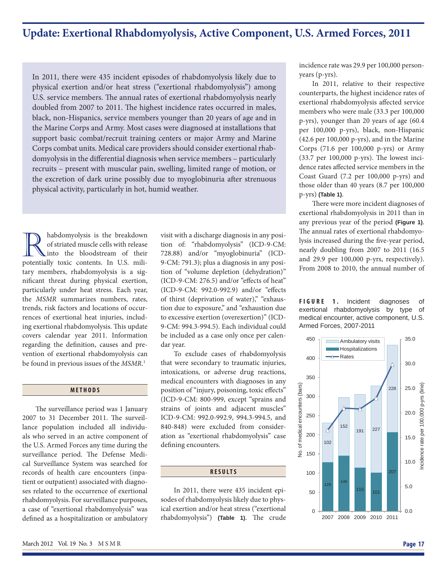## **Update: Exertional Rhabdomyolysis, Active Component, U.S. Armed Forces, 2011**

In 2011, there were 435 incident episodes of rhabdomyolysis likely due to physical exertion and/or heat stress ("exertional rhabdomyolysis") among U.S. service members. The annual rates of exertional rhabdomyolysis nearly doubled from 2007 to 2011. The highest incidence rates occurred in males, black, non-Hispanics, service members younger than 20 years of age and in the Marine Corps and Army. Most cases were diagnosed at installations that support basic combat/recruit training centers or major Army and Marine Corps combat units. Medical care providers should consider exertional rhabdomyolysis in the differential diagnosis when service members - particularly recruits – present with muscular pain, swelling, limited range of motion, or the excretion of dark urine possibly due to myoglobinuria after strenuous physical activity, particularly in hot, humid weather.

**R** habdomyolysis is the breakdown<br>of striated muscle cells with release<br>into the bloodstream of their<br>potentially toxic contents In US miliof striated muscle cells with release into the bloodstream of their potentially toxic contents. In U.S. military members, rhabdomyolysis is a significant threat during physical exertion, particularly under heat stress. Each year, the *MSMR* summarizes numbers, rates, trends, risk factors and locations of occurrences of exertional heat injuries, including exertional rhabdomyolysis. This update covers calendar year 2011. Information regarding the definition, causes and prevention of exertional rhabdomyolysis can be found in previous issues of the *MSMR*. 1

## **METHODS**

The surveillance period was 1 January 2007 to 31 December 2011. The surveillance population included all individuals who served in an active component of the U.S. Armed Forces any time during the surveillance period. The Defense Medical Surveillance System was searched for records of health care encounters (inpatient or outpatient) associated with diagnoses related to the occurrence of exertional rhabdomyolysis. For surveillance purposes, a case of "exertional rhabdomyolysis" was defined as a hospitalization or ambulatory visit with a discharge diagnosis in any position of: "rhabdomyolysis" (ICD-9-CM: 728.88) and/or "myoglobinuria" (ICD-9-CM: 791.3); plus a diagnosis in any position of "volume depletion (dehydration)" (ICD-9-CM: 276.5) and/or "effects of heat" (ICD-9-CM: 992.0-992.9) and/or "effects of thirst (deprivation of water)," "exhaustion due to exposure," and "exhaustion due to excessive exertion (overexertion)" (ICD-9-CM: 994.3-994.5). Each individual could be included as a case only once per calendar year.

To exclude cases of rhabdomyolysis that were secondary to traumatic injuries, intoxications, or adverse drug reactions, medical encounters with diagnoses in any position of "injury, poisoning, toxic effects" (ICD-9-CM: 800-999, except "sprains and strains of joints and adjacent muscles" ICD-9-CM: 992.0-992.9, 994.3-994.5, and 840-848) were excluded from consideration as "exertional rhabdomyolysis" case defining encounters.

### **RESULTS**

In 2011, there were 435 incident episodes of rhabdomyolysis likely due to physical exertion and/or heat stress ("exertional rhabdomyolysis") (Table 1). The crude

incidence rate was 29.9 per 100,000 personyears (p-yrs).

In 2011, relative to their respective counterparts, the highest incidence rates of exertional rhabdomyolysis affected service members who were male (33.3 per 100,000 p-yrs), younger than 20 years of age (60.4 per 100,000 p-yrs), black, non-Hispanic (42.6 per 100,000 p-yrs), and in the Marine Corps (71.6 per 100,000 p-yrs) or Army  $(33.7 \text{ per } 100,000 \text{ p-}vrs)$ . The lowest incidence rates affected service members in the Coast Guard (7.2 per 100,000 p-yrs) and those older than 40 years (8.7 per 100,000 p-yrs) **(Table 1)**.

There were more incident diagnoses of exertional rhabdomyolysis in 2011 than in any previous year of the period **(Figure 1)**. The annual rates of exertional rhabdomyolysis increased during the five-year period, nearly doubling from 2007 to 2011 (16.5 and 29.9 per 100,000 p-yrs, respectively). From 2008 to 2010, the annual number of

**FIGURE 1.** Incident diagnoses of exertional rhabdomyolysis by type of medical encounter, active component, U.S. Armed Forces, 2007-2011

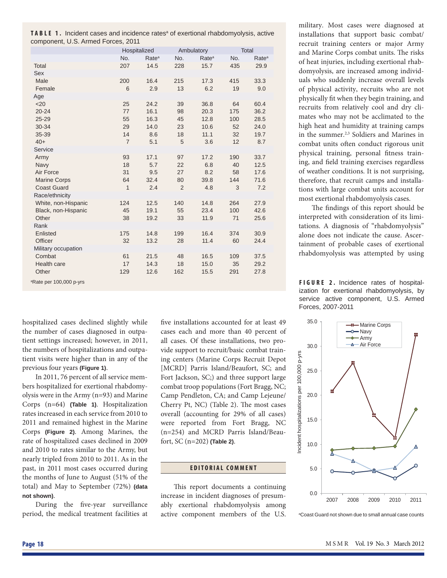**TABLE 1.** Incident cases and incidence rates<sup>a</sup> of exertional rhabdomyolysis, active component, U.S. Armed Forces, 2011

|                                     |                | Hospitalized      |                | Ambulatory        | Total |                   |
|-------------------------------------|----------------|-------------------|----------------|-------------------|-------|-------------------|
|                                     | No.            | Rate <sup>a</sup> | No.            | Rate <sup>a</sup> | No.   | Rate <sup>a</sup> |
| Total                               | 207            | 14.5              | 228            | 15.7              | 435   | 29.9              |
| Sex                                 |                |                   |                |                   |       |                   |
| Male                                | 200            | 16.4              | 215            | 17.3              | 415   | 33.3              |
| Female                              | 6              | 2.9               | 13             | 6.2               | 19    | 9.0               |
| Age                                 |                |                   |                |                   |       |                   |
| $20$                                | 25             | 24.2              | 39             | 36.8              | 64    | 60.4              |
| $20 - 24$                           | 77             | 16.1              | 98             | 20.3              | 175   | 36.2              |
| $25 - 29$                           | 55             | 16.3              | 45             | 12.8              | 100   | 28.5              |
| 30-34                               | 29             | 14.0              | 23             | 10.6              | 52    | 24.0              |
| 35-39                               | 14             | 8.6               | 18             | 11.1              | 32    | 19.7              |
| $40+$                               | $\overline{7}$ | 5.1               | 5              | 3.6               | 12    | 8.7               |
| Service                             |                |                   |                |                   |       |                   |
| Army                                | 93             | 17.1              | 97             | 17.2              | 190   | 33.7              |
| Navy                                | 18             | 5.7               | 22             | 6.8               | 40    | 12.5              |
| Air Force                           | 31             | 9.5               | 27             | 8.2               | 58    | 17.6              |
| <b>Marine Corps</b>                 | 64             | 32.4              | 80             | 39.8              | 144   | 71.6              |
| <b>Coast Guard</b>                  | $\mathbf{1}$   | 2.4               | $\overline{2}$ | 4.8               | 3     | 7.2               |
| Race/ethnicity                      |                |                   |                |                   |       |                   |
| White, non-Hispanic                 | 124            | 12.5              | 140            | 14.8              | 264   | 27.9              |
| Black, non-Hispanic                 | 45             | 19.1              | 55             | 23.4              | 100   | 42.6              |
| Other                               | 38             | 19.2              | 33             | 11.9              | 71    | 25.6              |
| Rank                                | 175            |                   |                | 16.4              | 374   |                   |
| Enlisted<br>Officer                 | 32             | 14.8<br>13.2      | 199<br>28      | 11.4              | 60    | 30.9<br>24.4      |
| Military occupation                 |                |                   |                |                   |       |                   |
| Combat                              | 61             | 21.5              | 48             | 16.5              | 109   | 37.5              |
| Health care                         | 17             | 14.3              | 18             | 15.0              | 35    | 29.2              |
| Other                               | 129            | 12.6              | 162            | 15.5              | 291   | 27.8              |
|                                     |                |                   |                |                   |       |                   |
| <sup>a</sup> Rate per 100,000 p-yrs |                |                   |                |                   |       |                   |

hospitalized cases declined slightly while the number of cases diagnosed in outpatient settings increased; however, in 2011, the numbers of hospitalizations and outpatient visits were higher than in any of the previous four years **(Figure 1)**.

In 2011, 76 percent of all service members hospitalized for exertional rhabdomyolysis were in the Army (n=93) and Marine Corps (n=64) **(Table 1)**. Hospitalization rates increased in each service from 2010 to 2011 and remained highest in the Marine Corps **(Figure 2)**. Among Marines, the rate of hospitalized cases declined in 2009 and 2010 to rates similar to the Army, but nearly tripled from 2010 to 2011. As in the past, in 2011 most cases occurred during the months of June to August (51% of the total) and May to September (72%) **(data not shown)**.

During the five-year surveillance period, the medical treatment facilities at

five installations accounted for at least 49 cases each and more than 40 percent of all cases. Of these installations, two provide support to recruit/basic combat training centers (Marine Corps Recruit Depot [MCRD] Parris Island/Beaufort, SC; and Fort Jackson, SC;) and three support large combat troop populations (Fort Bragg, NC; Camp Pendleton, CA; and Camp Lejeune/ Cherry Pt, NC) (Table 2). The most cases overall (accounting for 29% of all cases) were reported from Fort Bragg, NC (n=254) and MCRD Parris Island/Beaufort, SC (n=202) **(Table 2)**.

#### **EDITORIAL COMMENT**

This report documents a continuing increase in incident diagnoses of presumably exertional rhabdomyolysis among active component members of the U.S.

military. Most cases were diagnosed at installations that support basic combat/ recruit training centers or major Army and Marine Corps combat units. The risks of heat injuries, including exertional rhabdomyolysis, are increased among individuals who suddenly increase overall levels of physical activity, recruits who are not physically fit when they begin training, and recruits from relatively cool and dry climates who may not be acclimated to the high heat and humidity at training camps in the summer.2,3 Soldiers and Marines in combat units often conduct rigorous unit physical training, personal fitness training, and field training exercises regardless of weather conditions. It is not surprising, therefore, that recruit camps and installations with large combat units account for most exertional rhabdomyolysis cases.

The findings of this report should be interpreted with consideration of its limitations. A diagnosis of "rhabdomyolysis" alone does not indicate the cause. Ascertainment of probable cases of exertional rhabdomyolysis was attempted by using

**FIGURE 2.** Incidence rates of hospitalization for exertional rhabdomyolysis, by service active component, U.S. Armed Forces, 2007-2011



a Coast Guard not shown due to small annual case counts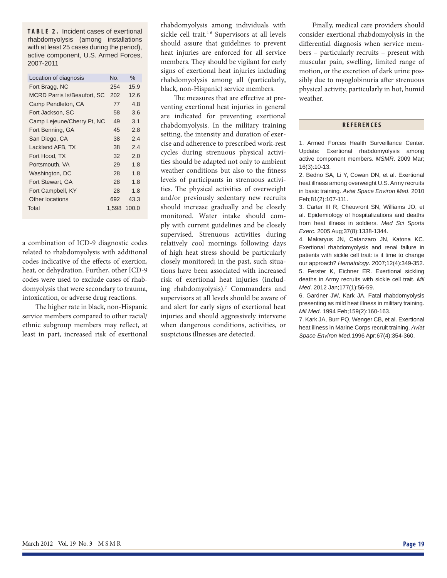**TABLE 2.** Incident cases of exertional rhabdomyolysis (among installations with at least 25 cases during the period), active component, U.S. Armed Forces, 2007-2011

|                             | No.   | $\%$  |
|-----------------------------|-------|-------|
| Location of diagnosis       |       |       |
| Fort Bragg, NC              | 254   | 15.9  |
| MCRD Parris Is/Beaufort, SC | 202   | 12.6  |
| Camp Pendleton, CA          | 77    | 4.8   |
| Fort Jackson, SC            | 58    | 3.6   |
| Camp Lejeune/Cherry Pt, NC  | 49    | 3.1   |
| Fort Benning, GA            | 45    | 2.8   |
| San Diego, CA               | 38    | 2.4   |
| Lackland AFB, TX            | 38    | 2.4   |
| Fort Hood. TX               | 32    | 2.0   |
| Portsmouth, VA              | 29    | 1.8   |
| Washington, DC              | 28    | 1.8   |
| Fort Stewart, GA            | 28    | 1.8   |
| Fort Campbell, KY           | 28    | 1.8   |
| Other locations             | 692   | 43.3  |
| Total                       | 1.598 | 100.0 |

a combination of ICD-9 diagnostic codes related to rhabdomyolysis with additional codes indicative of the effects of exertion, heat, or dehydration. Further, other ICD-9 codes were used to exclude cases of rhabdomyolysis that were secondary to trauma, intoxication, or adverse drug reactions.

The higher rate in black, non-Hispanic service members compared to other racial/ ethnic subgroup members may reflect, at least in part, increased risk of exertional

rhabdomyolysis among individuals with sickle cell trait.<sup>4-6</sup> Supervisors at all levels should assure that guidelines to prevent heat injuries are enforced for all service members. They should be vigilant for early signs of exertional heat injuries including rhabdomyolysis among all (particularly, black, non-Hispanic) service members.

The measures that are effective at preventing exertional heat injuries in general are indicated for preventing exertional rhabdomyolysis. In the military training setting, the intensity and duration of exercise and adherence to prescribed work-rest cycles during strenuous physical activities should be adapted not only to ambient weather conditions but also to the fitness levels of participants in strenuous activities. The physical activities of overweight and/or previously sedentary new recruits should increase gradually and be closely monitored. Water intake should comply with current guidelines and be closely supervised. Strenuous activities during relatively cool mornings following days of high heat stress should be particularly closely monitored; in the past, such situations have been associated with increased risk of exertional heat injuries (including rhabdomyolysis).7 Commanders and supervisors at all levels should be aware of and alert for early signs of exertional heat injuries and should aggressively intervene when dangerous conditions, activities, or suspicious illnesses are detected.

Finally, medical care providers should consider exertional rhabdomyolysis in the differential diagnosis when service members – particularly recruits – present with muscular pain, swelling, limited range of motion, or the excretion of dark urine possibly due to myoglobinuria after strenuous physical activity, particularly in hot, humid weather.

## **REFERENCES**

1. Armed Forces Health Surveillance Center. Update: Exertional rhabdomyolysis among active component members. *MSMR*. 2009 Mar; 16(3):10-13.

2. Bedno SA, Li Y, Cowan DN, et al. Exertional heat illness among overweight U.S. Army recruits in basic training. *Aviat Space Environ Med*. 2010 Feb;81(2):107-111.

3. Carter III R, Cheuvront SN, Williams JO, et al. Epidemiology of hospitalizations and deaths from heat illness in soldiers. *Med Sci Sports Exerc*. 2005 Aug;37(8):1338-1344.

4. Makaryus JN, Catanzaro JN, Katona KC. Exertional rhabdomyolysis and renal failure in patients with sickle cell trait: is it time to change our approach? *Hematology*. 2007;12(4):349-352. 5. Ferster K, Eichner ER. Exertional sickling deaths in Army recruits with sickle cell trait. *Mil Med*. 2012 Jan;177(1):56-59.

6. Gardner JW, Kark JA. Fatal rhabdomyolysis presenting as mild heat illness in military training. *Mil Med*. 1994 Feb;159(2):160-163.

7. Kark JA, Burr PQ, Wenger CB, et al. Exertional heat illness in Marine Corps recruit training. *Aviat Space Environ Med*.1996 Apr;67(4):354-360.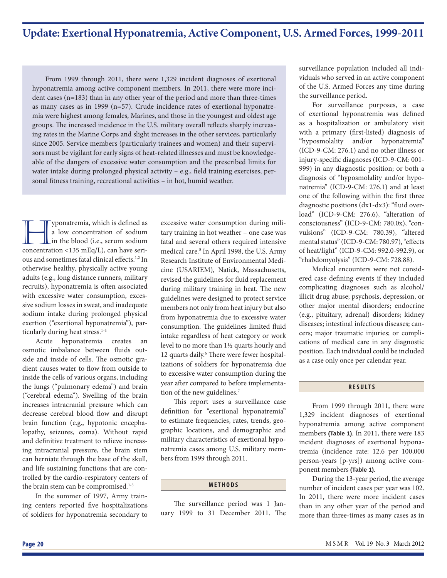## **Update: Exertional Hyponatremia, Active Component, U.S. Armed Forces, 1999-2011**

From 1999 through 2011, there were 1,329 incident diagnoses of exertional hyponatremia among active component members. In 2011, there were more incident cases (n=183) than in any other year of the period and more than three-times as many cases as in 1999 (n=57). Crude incidence rates of exertional hyponatremia were highest among females, Marines, and those in the youngest and oldest age groups. The increased incidence in the U.S. military overall reflects sharply increasing rates in the Marine Corps and slight increases in the other services, particularly since 2005. Service members (particularly trainees and women) and their supervisors must be vigilant for early signs of heat-related illnesses and must be knowledgeable of the dangers of excessive water consumption and the prescribed limits for water intake during prolonged physical activity  $-$  e.g., field training exercises, personal fitness training, recreational activities - in hot, humid weather.

**hermia**, which is defined as<br>a low concentration of sodium<br>concentration  $\leq 135 \text{ mEq/L}$ , can have seria low concentration of sodium in the blood (i.e., serum sodium concentration <135 mEq/L), can have serious and sometimes fatal clinical effects.<sup>1,2</sup> In otherwise healthy, physically active young adults (e.g., long distance runners, military recruits), hyponatremia is often associated with excessive water consumption, excessive sodium losses in sweat, and inadequate sodium intake during prolonged physical exertion ("exertional hyponatremia"), particularly during heat stress.<sup>1-4</sup>

Acute hyponatremia creates an osmotic imbalance between fluids outside and inside of cells. The osmotic gradient causes water to flow from outside to inside the cells of various organs, including the lungs ("pulmonary edema") and brain ("cerebral edema"). Swelling of the brain increases intracranial pressure which can decrease cerebral blood flow and disrupt brain function (e.g., hypotonic encephalopathy, seizures, coma). Without rapid and definitive treatment to relieve increasing intracranial pressure, the brain stem can herniate through the base of the skull, and life sustaining functions that are controlled by the cardio-respiratory centers of the brain stem can be compromised.<sup>1-3</sup>

In the summer of 1997, Army training centers reported five hospitalizations of soldiers for hyponatremia secondary to

excessive water consumption during military training in hot weather – one case was fatal and several others required intensive medical care.<sup>5</sup> In April 1998, the U.S. Army Research Institute of Environmental Medicine (USARIEM), Natick, Massachusetts, revised the guidelines for fluid replacement during military training in heat. The new guidelines were designed to protect service members not only from heat injury but also from hyponatremia due to excessive water consumption. The guidelines limited fluid intake regardless of heat category or work level to no more than 1½ quarts hourly and 12 quarts daily.<sup>6</sup> There were fewer hospitalizations of soldiers for hyponatremia due to excessive water consumption during the year after compared to before implementation of the new guidelines.<sup>7</sup>

This report uses a surveillance case definition for "exertional hyponatremia" to estimate frequencies, rates, trends, geographic locations, and demographic and military characteristics of exertional hyponatremia cases among U.S. military members from 1999 through 2011.

#### **METHODS**

The surveillance period was 1 January 1999 to 31 December 2011. The surveillance population included all individuals who served in an active component of the U.S. Armed Forces any time during the surveillance period.

For surveillance purposes, a case of exertional hyponatremia was defined as a hospitalization or ambulatory visit with a primary (first-listed) diagnosis of "hyposmolality and/or hyponatremia" (ICD-9-CM: 276.1) and no other illness or injury-specific diagnoses (ICD-9-CM: 001-999) in any diagnostic position; or both a diagnosis of "hyposmolality and/or hyponatremia" (ICD-9-CM: 276.1) and at least one of the following within the first three diagnostic positions (dx1-dx3): "fluid overload" (ICD-9-CM: 276.6), "alteration of consciousness" (ICD-9-CM: 780.0x), "convulsions" (ICD-9-CM: 780.39), "altered mental status" (ICD-9-CM: 780.97), "effects of heat/light" (ICD-9-CM: 992.0-992.9), or "rhabdomyolysis" (ICD-9-CM: 728.88).

Medical encounters were not considered case defining events if they included complicating diagnoses such as alcohol/ illicit drug abuse; psychosis, depression, or other major mental disorders; endocrine (e.g., pituitary, adrenal) disorders; kidney diseases; intestinal infectious diseases; cancers; major traumatic injuries; or complications of medical care in any diagnostic position. Each individual could be included as a case only once per calendar year.

#### **RESULTS**

From 1999 through 2011, there were 1,329 incident diagnoses of exertional hyponatremia among active component members **(Table 1)**. In 2011, there were 183 incident diagnoses of exertional hyponatremia (incidence rate: 12.6 per 100,000 person-years [p-yrs]) among active component members **(Table 1)**.

During the 13-year period, the average number of incident cases per year was 102. In 2011, there were more incident cases than in any other year of the period and more than three-times as many cases as in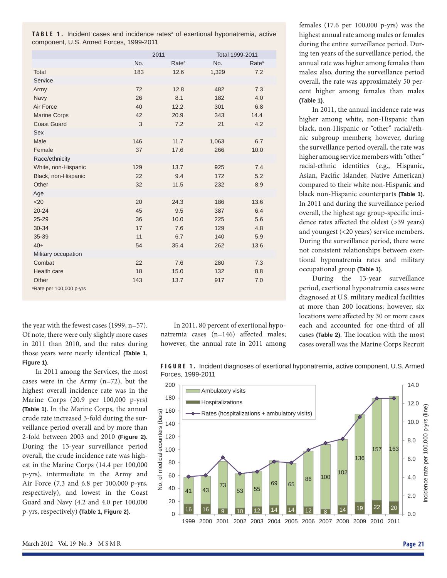TABLE 1. Incident cases and incidence rates<sup>a</sup> of exertional hyponatremia, active component, U.S. Armed Forces, 1999-2011

|                                     | 2011              |       | Total 1999-2011   |
|-------------------------------------|-------------------|-------|-------------------|
| No.                                 | Rate <sup>a</sup> | No.   | Rate <sup>a</sup> |
| 183<br>Total                        | 12.6              | 1,329 | 7.2               |
| Service                             |                   |       |                   |
| 72<br>Army                          | 12.8              | 482   | 7.3               |
| 26<br>Navy                          | 8.1               | 182   | 4.0               |
| Air Force<br>40                     | 12.2              | 301   | 6.8               |
| <b>Marine Corps</b><br>42           | 20.9              | 343   | 14.4              |
| <b>Coast Guard</b>                  | 3<br>7.2          | 21    | 4.2               |
| <b>Sex</b>                          |                   |       |                   |
| Male<br>146                         | 11.7              | 1,063 | 6.7               |
| Female<br>37                        | 17.6              | 266   | 10.0              |
| Race/ethnicity                      |                   |       |                   |
| White, non-Hispanic<br>129          | 13.7              | 925   | 7.4               |
| Black, non-Hispanic<br>22           | 9.4               | 172   | 5.2               |
| Other<br>32                         | 11.5              | 232   | 8.9               |
| Age                                 |                   |       |                   |
| $20$<br>20                          | 24.3              | 186   | 13.6              |
| $20 - 24$<br>45                     | 9.5               | 387   | 6.4               |
| 25-29<br>36                         | 10.0              | 225   | 5.6               |
| 17<br>30-34                         | 7.6               | 129   | 4.8               |
| 35-39<br>11                         | 6.7               | 140   | 5.9               |
| $40+$<br>54                         | 35.4              | 262   | 13.6              |
| Military occupation                 |                   |       |                   |
| Combat<br>22                        | 7.6               | 280   | 7.3               |
| Health care<br>18                   | 15.0              | 132   | 8.8               |
| Other<br>143                        | 13.7              | 917   | 7.0               |
| <sup>a</sup> Rate per 100,000 p-yrs |                   |       |                   |

the year with the fewest cases (1999, n=57). Of note, there were only slightly more cases in 2011 than 2010, and the rates during those years were nearly identical **(Table 1, Figure 1)**.

In 2011 among the Services, the most cases were in the Army (n=72), but the highest overall incidence rate was in the Marine Corps (20.9 per 100,000 p-yrs) **(Table 1)**. In the Marine Corps, the annual crude rate increased 3-fold during the surveillance period overall and by more than 2-fold between 2003 and 2010 **(Figure 2)**. During the 13-year surveillance period overall, the crude incidence rate was highest in the Marine Corps (14.4 per 100,000 p-yrs), intermediate in the Army and Air Force (7.3 and 6.8 per 100,000 p-yrs, respectively), and lowest in the Coast Guard and Navy (4.2 and 4.0 per 100,000 p-yrs, respectively) **(Table 1, Figure 2)**.

In 2011, 80 percent of exertional hyponatremia cases  $(n=146)$  affected males; however, the annual rate in 2011 among females (17.6 per 100,000 p-yrs) was the highest annual rate among males or females during the entire surveillance period. During ten years of the surveillance period, the annual rate was higher among females than males; also, during the surveillance period overall, the rate was approximately 50 percent higher among females than males **(Table 1)**.

In 2011, the annual incidence rate was higher among white, non-Hispanic than black, non-Hispanic or "other" racial/ethnic subgroup members; however, during the surveillance period overall, the rate was higher among service members with "other" racial-ethnic identities (e.g., Hispanic, Asian, Pacific Islander, Native American) compared to their white non-Hispanic and black non-Hispanic counterparts **(Table 1)**. In 2011 and during the surveillance period overall, the highest age group-specific incidence rates affected the oldest (>39 years) and youngest (<20 years) service members. During the surveillance period, there were not consistent relationships between exertional hyponatremia rates and military occupational group **(Table 1)**.

During the 13-year surveillance period, exertional hyponatremia cases were diagnosed at U.S. military medical facilities at more than 200 locations; however, six locations were affected by 30 or more cases each and accounted for one-third of all cases (Table 2). The location with the most cases overall was the Marine Corps Recruit

**FIGURE 1.** Incident diagnoses of exertional hyponatremia, active component, U.S. Armed Forces, 1999-2011

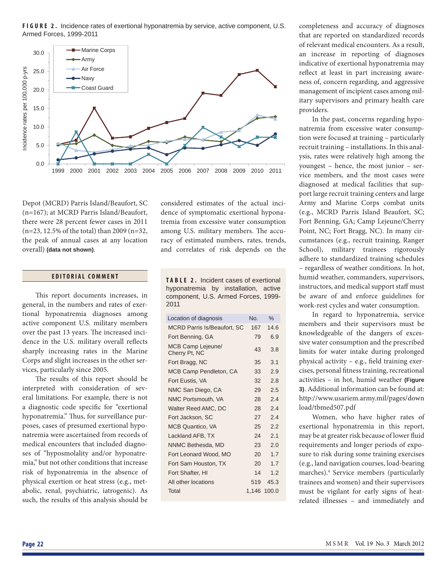**FIGURE 2.** Incidence rates of exertional hyponatremia by service, active component, U.S. Armed Forces, 1999-2011



Depot (MCRD) Parris Island/Beaufort, SC (n=167); at MCRD Parris Island/Beaufort, there were 28 percent fewer cases in 2011 (n=23, 12.5% of the total) than 2009 (n=32, the peak of annual cases at any location overall) **(data not shown)**.

## **EDITORIAL COMMENT**

This report documents increases, in general, in the numbers and rates of exertional hyponatremia diagnoses among active component U.S. military members over the past 13 years. The increased incidence in the U.S. military overall reflects sharply increasing rates in the Marine Corps and slight increases in the other services, particularly since 2005.

The results of this report should be interpreted with consideration of several limitations. For example, there is not a diagnostic code specific for "exertional hyponatremia." Thus, for surveillance purposes, cases of presumed exertional hyponatremia were ascertained from records of medical encounters that included diagnoses of "hyposmolality and/or hyponatremia," but not other conditions that increase risk of hyponatremia in the absence of physical exertion or heat stress (e.g., metabolic, renal, psychiatric, iatrogenic). As such, the results of this analysis should be considered estimates of the actual incidence of symptomatic exertional hyponatremia from excessive water consumption among U.S. military members. The accuracy of estimated numbers, rates, trends, and correlates of risk depends on the

**TABLE 2.** Incident cases of exertional hyponatremia by installation, active component, U.S. Armed Forces, 1999- 2011

| Location of diagnosis              | No. | %           |
|------------------------------------|-----|-------------|
| <b>MCRD Parris Is/Beaufort, SC</b> | 167 | 14.6        |
| Fort Benning, GA                   | 79  | 6.9         |
| MCB Camp Lejeune/<br>Cherry Pt, NC | 43  | 3.8         |
| Fort Bragg, NC                     | 35  | 3.1         |
| MCB Camp Pendleton, CA             | 33  | 2.9         |
| Fort Eustis, VA                    | 32  | 2.8         |
| NMC San Diego, CA                  | 29  | 2.5         |
| NMC Portsmouth, VA                 | 28  | 2.4         |
| Walter Reed AMC, DC                | 28  | 2.4         |
| Fort Jackson, SC                   | 27  | 2.4         |
| <b>MCB Quantico, VA</b>            | 25  | 2.2         |
| Lackland AFB, TX                   | 24  | 2.1         |
| NNMC Bethesda, MD                  | 23  | 2.0         |
| Fort Leonard Wood, MO              | 20  | 1.7         |
| Fort Sam Houston, TX               | 20  | 1.7         |
| Fort Shafter, HI                   | 14  | 1.2         |
| All other locations                | 519 | 45.3        |
| Total                              |     | 1.146 100.0 |

completeness and accuracy of diagnoses that are reported on standardized records of relevant medical encounters. As a result, an increase in reporting of diagnoses indicative of exertional hyponatremia may reflect at least in part increasing awareness of, concern regarding, and aggressive management of incipient cases among military supervisors and primary health care providers.

In the past, concerns regarding hyponatremia from excessive water consumption were focused at training – particularly recruit training – installations. In this analysis, rates were relatively high among the youngest – hence, the most junior – service members, and the most cases were diagnosed at medical facilities that support large recruit training centers and large Army and Marine Corps combat units (e.g., MCRD Parris Island Beaufort, SC; Fort Benning, GA; Camp Lejeune/Cherry Point, NC; Fort Bragg, NC). In many circumstances (e.g., recruit training, Ranger School), military trainees rigorously adhere to standardized training schedules – regardless of weather conditions. In hot, humid weather, commanders, supervisors, instructors, and medical support staff must be aware of and enforce guidelines for work-rest cycles and water consumption.

In regard to hyponatremia, service members and their supervisors must be knowledgeable of the dangers of excessive water consumption and the prescribed limits for water intake during prolonged physical activity - e.g., field training exercises, personal fitness training, recreational activities – in hot, humid weather **(Figure 3)**. Additional information can be found at: http://www.usariem.army.mil/pages/down load/tbmed507.pdf

Women, who have higher rates of exertional hyponatremia in this report, may be at greater risk because of lower fluid requirements and longer periods of exposure to risk during some training exercises (e.g., land navigation courses, load-bearing marches).4 Service members (particularly trainees and women) and their supervisors must be vigilant for early signs of heatrelated illnesses – and immediately and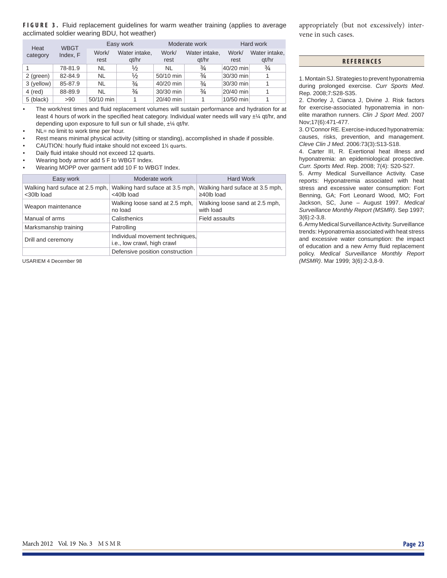### **FIGURE 3.** Fluid replacement guidelines for warm weather training (applies to average acclimated soldier wearing BDU, hot weather)

|                  | <b>WBGT</b> | Easy work     |                        |               | Moderate work          | Hard work     |                        |
|------------------|-------------|---------------|------------------------|---------------|------------------------|---------------|------------------------|
| Heat<br>category | Index, F    | Work/<br>rest | Water intake,<br>at/hr | Work/<br>rest | Water intake,<br>at/hr | Work/<br>rest | Water intake,<br>gt/hr |
|                  | 78-81.9     | NL            | ⅓                      | NL            | $\frac{3}{4}$          | 40/20 min     | $\frac{3}{4}$          |
| 2 (green)        | 82-84.9     | NL            | ⅓                      | 50/10 min     | $\frac{3}{4}$          | 30/30 min     |                        |
| 3 (yellow)       | 85-87.9     | NL            | $\frac{3}{4}$          | 40/20 min     | $\frac{3}{4}$          | 30/30 min     |                        |
| 4 (red)          | 88-89.9     | NL            | $\frac{3}{4}$          | 30/30 min     | $\frac{3}{4}$          | 20/40 min     |                        |
| 5 (black)        | >90         | 50/10 min     |                        | 20/40 min     |                        | 10/50 min     |                        |

• The work/rest times and fluid replacement volumes will sustain performance and hydration for at least 4 hours of work in the specified heat category. Individual water needs will vary  $\pm\frac{1}{4}$  qt/hr, and depending upon exposure to full sun or full shade, ±¼ qt/hr.

NL= no limit to work time per hour.

- Rest means minimal physical activity (sitting or standing), accomplished in shade if possible.
- CAUTION: hourly fluid intake should not exceed 1% quarts.
- Daily fluid intake should not exceed 12 quarts.
- Wearing body armor add 5 F to WBGT Index.
- Wearing MOPP over garment add 10 F to WBGT Index.

| Easy work                                     | Moderate work                                                  | Hard Work                                           |
|-----------------------------------------------|----------------------------------------------------------------|-----------------------------------------------------|
| Walking hard suface at 2.5 mph,<br><30lb load | Walking hard suface at 3.5 mph,<br><40lb load                  | Walking hard suface at 3.5 mph,<br>$\geq$ 40lb load |
| Weapon maintenance                            | Walking loose sand at 2.5 mph,<br>no load                      | Walking loose sand at 2.5 mph,<br>with load         |
| Manual of arms                                | Calisthenics                                                   | <b>Field assaults</b>                               |
| Marksmanship training                         | Patrolling                                                     |                                                     |
| Drill and ceremony                            | Individual movement techniques.<br>i.e., low crawl, high crawl |                                                     |
|                                               | Defensive position construction                                |                                                     |

appropriately (but not excessively) intervene in such cases.

### **REFERENCES**

1. Montain SJ. Strategies to prevent hyponatremia during prolonged exercise. *Curr Sports Med*. Rep. 2008;7:S28-S35.

2. Chorley J, Cianca J, Divine J. Risk factors for exercise-associated hyponatremia in nonelite marathon runners. *Clin J Sport Med*. 2007 Nov;17(6):471-477.

3. O'Connor RE. Exercise-induced hyponatremia: causes, risks, prevention, and management. *Cleve Clin J Med*. 2006:73(3):S13-S18.

4. Carter III, R. Exertional heat illness and hyponatremia: an epidemiological prospective. *Curr. Sports Med*. Rep. 2008; 7(4): S20-S27.

5. Army Medical Surveillance Activity. Case reports: Hyponatremia associated with heat stress and excessive water consumption: Fort Benning, GA; Fort Leonard Wood, MO; Fort Jackson, SC, June – August 1997. *Medical Surveillance Monthly Report (MSMR)*. Sep 1997; 3(6):2-3,8.

6. Army Medical Surveillance Activity. Surveillance trends: Hyponatremia associated with heat stress and excessive water consumption: the impact of education and a new Army fluid replacement policy. *Medical Surveillance Monthly Report*  USARIEM 4 December 98 *(MSMR)*. Mar 1999; 3(6):2-3,8-9.